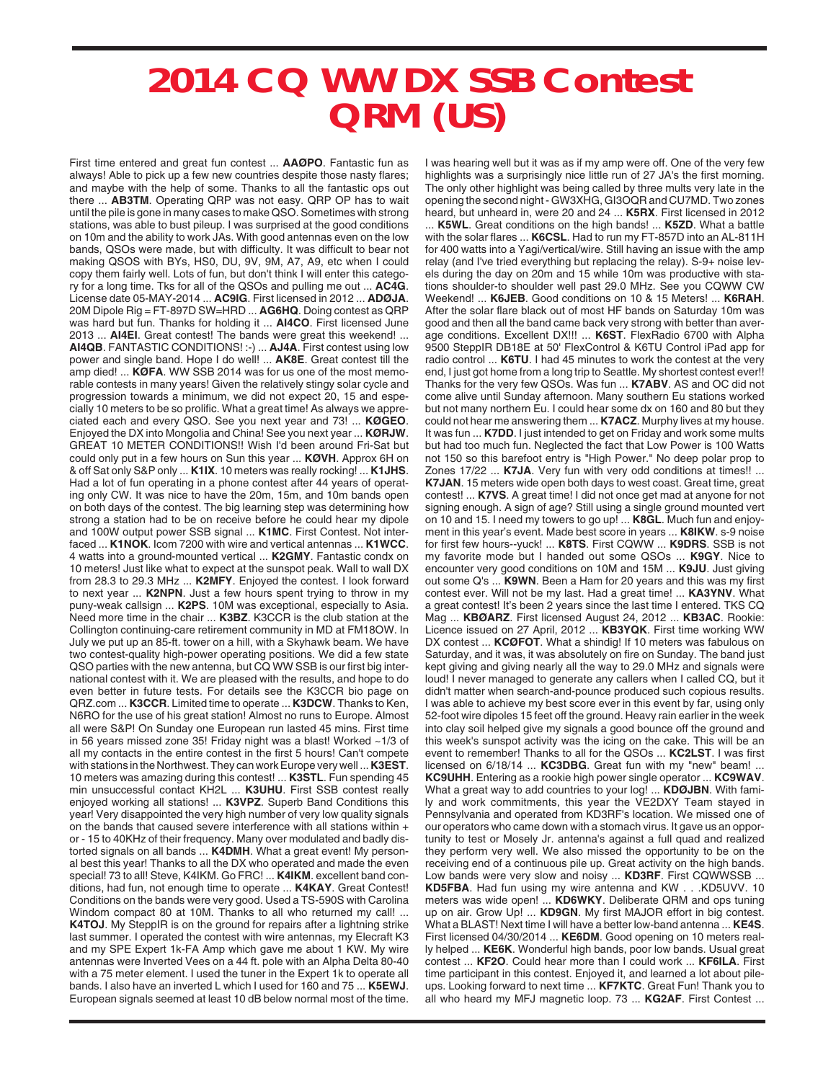## **2014 CQ WW DX SSB Contest QRM (US)**

First time entered and great fun contest ... **AAØPO**. Fantastic fun as always! Able to pick up a few new countries despite those nasty flares; and maybe with the help of some. Thanks to all the fantastic ops out there ... **AB3TM**. Operating QRP was not easy. QRP OP has to wait until the pile is gone in many cases to make QSO. Sometimes with strong stations, was able to bust pileup. I was surprised at the good conditions on 10m and the ability to work JAs. With good antennas even on the low bands, QSOs were made, but with difficulty. It was difficult to bear not making QSOS with BYs, HS0, DU, 9V, 9M, A7, A9, etc when I could copy them fairly well. Lots of fun, but don't think I will enter this category for a long time. Tks for all of the QSOs and pulling me out ... **AC4G**. License date 05-MAY-2014 ... **AC9IG**. First licensed in 2012 ... **ADØJA**. 20M Dipole Rig = FT-897D SW=HRD ... **AG6HQ**. Doing contest as QRP was hard but fun. Thanks for holding it ... **AI4CO**. First licensed June 2013 ... **AI4EI**. Great contest! The bands were great this weekend! ... **AI4QB**. FANTASTIC CONDITIONS! :-) ... **AJ4A**. First contest using low power and single band. Hope I do well! ... **AK8E**. Great contest till the amp died! ... **KØFA**. WW SSB 2014 was for us one of the most memorable contests in many years! Given the relatively stingy solar cycle and progression towards a minimum, we did not expect 20, 15 and especially 10 meters to be so prolific. What a great time! As always we appreciated each and every QSO. See you next year and 73! ... **KØGEO**. Enjoyed the DX into Mongolia and China! See you next year ... **KØRJW**. GREAT 10 METER CONDITIONS!! Wish I'd been around Fri-Sat but could only put in a few hours on Sun this year ... **KØVH**. Approx 6H on & off Sat only S&P only ... **K1IX**. 10 meters was really rocking! ... **K1JHS**. Had a lot of fun operating in a phone contest after 44 years of operating only CW. It was nice to have the 20m, 15m, and 10m bands open on both days of the contest. The big learning step was determining how strong a station had to be on receive before he could hear my dipole and 100W output power SSB signal ... **K1MC**. First Contest. Not interfaced ... **K1NOK**. Icom 7200 with wire and vertical antennas ... **K1WCC**. 4 watts into a ground-mounted vertical ... **K2GMY**. Fantastic condx on 10 meters! Just like what to expect at the sunspot peak. Wall to wall DX from 28.3 to 29.3 MHz ... **K2MFY**. Enjoyed the contest. I look forward to next year ... **K2NPN**. Just a few hours spent trying to throw in my puny-weak callsign ... **K2PS**. 10M was exceptional, especially to Asia. Need more time in the chair ... **K3BZ**. K3CCR is the club station at the Collington continuing-care retirement community in MD at FM18OW. In July we put up an 85-ft. tower on a hill, with a Skyhawk beam. We have two contest-quality high-power operating positions. We did a few state QSO parties with the new antenna, but CQ WW SSB is our first big international contest with it. We are pleased with the results, and hope to do even better in future tests. For details see the K3CCR bio page on QRZ.com ... **K3CCR**. Limited time to operate ... **K3DCW**. Thanks to Ken, N6RO for the use of his great station! Almost no runs to Europe. Almost all were S&P! On Sunday one European run lasted 45 mins. First time in 56 years missed zone 35! Friday night was a blast! Worked ~1/3 of all my contacts in the entire contest in the first 5 hours! Can't compete with stations in the Northwest. They can work Europe very well ... **K3EST**. 10 meters was amazing during this contest! ... **K3STL**. Fun spending 45 min unsuccessful contact KH2L ... **K3UHU**. First SSB contest really enjoyed working all stations! ... **K3VPZ**. Superb Band Conditions this year! Very disappointed the very high number of very low quality signals on the bands that caused severe interference with all stations within + or - 15 to 40KHz of their frequency. Many over modulated and badly distorted signals on all bands ... **K4DMH**. What a great event! My personal best this year! Thanks to all the DX who operated and made the even special! 73 to all! Steve, K4IKM. Go FRC! ... **K4IKM**. excellent band conditions, had fun, not enough time to operate ... **K4KAY**. Great Contest! Conditions on the bands were very good. Used a TS-590S with Carolina Windom compact 80 at 10M. Thanks to all who returned my call! ... **K4TOJ**. My SteppIR is on the ground for repairs after a lightning strike last summer. I operated the contest with wire antennas, my Elecraft K3 and my SPE Expert 1k-FA Amp which gave me about 1 KW. My wire antennas were Inverted Vees on a 44 ft. pole with an Alpha Delta 80-40 with a 75 meter element. I used the tuner in the Expert 1k to operate all bands. I also have an inverted L which I used for 160 and 75 ... **K5EWJ**. European signals seemed at least 10 dB below normal most of the time.

I was hearing well but it was as if my amp were off. One of the very few highlights was a surprisingly nice little run of 27 JA's the first morning. The only other highlight was being called by three mults very late in the opening the second night - GW3XHG, GI3OQR and CU7MD. Two zones heard, but unheard in, were 20 and 24 ... **K5RX**. First licensed in 2012 ... **K5WL**. Great conditions on the high bands! ... **K5ZD**. What a battle with the solar flares ... **K6CSL**. Had to run my FT-857D into an AL-811H for 400 watts into a Yagi/vertical/wire. Still having an issue with the amp relay (and I've tried everything but replacing the relay). S-9+ noise levels during the day on 20m and 15 while 10m was productive with stations shoulder-to shoulder well past 29.0 MHz. See you CQWW CW Weekend! ... **K6JEB**. Good conditions on 10 & 15 Meters! ... **K6RAH**. After the solar flare black out of most HF bands on Saturday 10m was good and then all the band came back very strong with better than average conditions. Excellent DX!!! ... **K6ST**. FlexRadio 6700 with Alpha 9500 SteppIR DB18E at 50' FlexControl & K6TU Control iPad app for radio control ... **K6TU**. I had 45 minutes to work the contest at the very end, I just got home from a long trip to Seattle. My shortest contest ever!! Thanks for the very few QSOs. Was fun ... **K7ABV**. AS and OC did not come alive until Sunday afternoon. Many southern Eu stations worked but not many northern Eu. I could hear some dx on 160 and 80 but they could not hear me answering them ... **K7ACZ**. Murphy lives at my house. It was fun ... **K7DD**. I just intended to get on Friday and work some mults but had too much fun. Neglected the fact that Low Power is 100 Watts not 150 so this barefoot entry is "High Power." No deep polar prop to Zones 17/22 ... **K7JA**. Very fun with very odd conditions at times!! ... **K7JAN**. 15 meters wide open both days to west coast. Great time, great contest! ... **K7VS**. A great time! I did not once get mad at anyone for not signing enough. A sign of age? Still using a single ground mounted vert on 10 and 15. I need my towers to go up! ... **K8GL**. Much fun and enjoyment in this year's event. Made best score in years ... **K8IKW**. s-9 noise for first few hours--yuck! ... **K8TS**. First CQWW ... **K9DRS**. SSB is not my favorite mode but I handed out some QSOs ... **K9GY**. Nice to encounter very good conditions on 10M and 15M ... **K9JU**. Just giving out some Q's ... **K9WN**. Been a Ham for 20 years and this was my first contest ever. Will not be my last. Had a great time! ... **KA3YNV**. What a great contest! It's been 2 years since the last time I entered. TKS CQ Mag ... **KBØARZ**. First licensed August 24, 2012 ... **KB3AC**. Rookie: Licence issued on 27 April, 2012 ... **KB3YQK**. First time working WW DX contest ... **KCØFOT**. What a shindig! If 10 meters was fabulous on Saturday, and it was, it was absolutely on fire on Sunday. The band just kept giving and giving nearly all the way to 29.0 MHz and signals were loud! I never managed to generate any callers when I called CQ, but it didn't matter when search-and-pounce produced such copious results. I was able to achieve my best score ever in this event by far, using only 52-foot wire dipoles 15 feet off the ground. Heavy rain earlier in the week into clay soil helped give my signals a good bounce off the ground and this week's sunspot activity was the icing on the cake. This will be an event to remember! Thanks to all for the QSOs ... **KC2LST**. I was first licensed on 6/18/14 ... **KC3DBG**. Great fun with my "new" beam! ... **KC9UHH**. Entering as a rookie high power single operator ... **KC9WAV**. What a great way to add countries to your log! ... **KDØJBN**. With family and work commitments, this year the VE2DXY Team stayed in Pennsylvania and operated from KD3RF's location. We missed one of our operators who came down with a stomach virus. It gave us an opportunity to test or Mosely Jr. antenna's against a full quad and realized they perform very well. We also missed the opportunity to be on the receiving end of a continuous pile up. Great activity on the high bands. Low bands were very slow and noisy ... **KD3RF**. First CQWWSSB ... **KD5FBA**. Had fun using my wire antenna and KW . . .KD5UVV. 10 meters was wide open! ... **KD6WKY**. Deliberate QRM and ops tuning up on air. Grow Up! ... **KD9GN**. My first MAJOR effort in big contest. What a BLAST! Next time I will have a better low-band antenna ... **KE4S**. First licensed 04/30/2014 ... **KE6DM**. Good opening on 10 meters really helped ... **KE6K**. Wonderful high bands, poor low bands. Usual great contest ... **KF2O**. Could hear more than I could work ... **KF6ILA**. First time participant in this contest. Enjoyed it, and learned a lot about pileups. Looking forward to next time ... **KF7KTC**. Great Fun! Thank you to all who heard my MFJ magnetic loop. 73 ... **KG2AF**. First Contest ...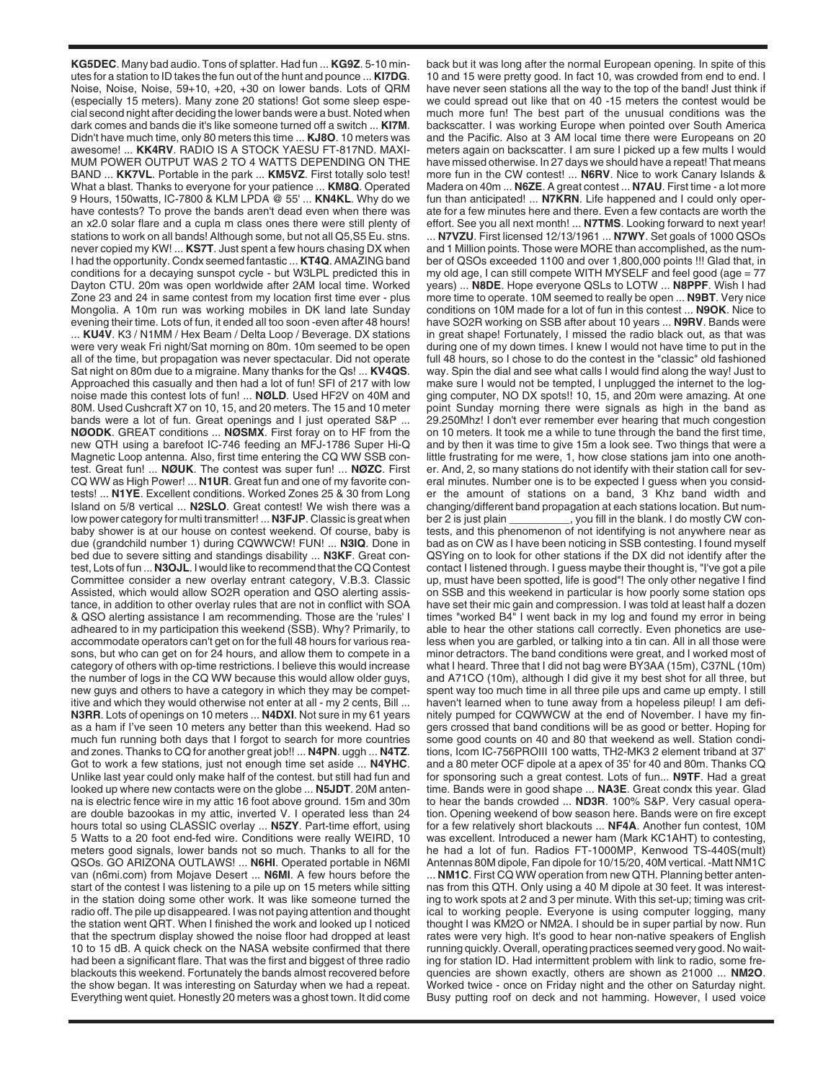**KG5DEC**. Many bad audio. Tons of splatter. Had fun ... **KG9Z**. 5-10 minutes for a station to ID takes the fun out of the hunt and pounce ... **KI7DG**. Noise, Noise, Noise, 59+10, +20, +30 on lower bands. Lots of QRM (especially 15 meters). Many zone 20 stations! Got some sleep especial second night after deciding the lower bands were a bust. Noted when dark comes and bands die it's like someone turned off a switch ... **KI7M**. Didn't have much time, only 80 meters this time ... **KJ8O**. 10 meters was awesome! ... **KK4RV**. RADIO IS A STOCK YAESU FT-817ND. MAXI-MUM POWER OUTPUT WAS 2 TO 4 WATTS DEPENDING ON THE BAND ... **KK7VL**. Portable in the park ... **KM5VZ**. First totally solo test! What a blast. Thanks to everyone for your patience ... **KM8Q**. Operated 9 Hours, 150watts, IC-7800 & KLM LPDA @ 55' ... **KN4KL**. Why do we have contests? To prove the bands aren't dead even when there was an x2.0 solar flare and a cupla m class ones there were still plenty of stations to work on all bands! Although some, but not all Q5,S5 Eu. stns. never copied my KW! ... **KS7T**. Just spent a few hours chasing DX when I had the opportunity. Condx seemed fantastic ... **KT4Q**. AMAZING band conditions for a decaying sunspot cycle - but W3LPL predicted this in Dayton CTU. 20m was open worldwide after 2AM local time. Worked Zone 23 and 24 in same contest from my location first time ever - plus Mongolia. A 10m run was working mobiles in DK land late Sunday evening their time. Lots of fun, it ended all too soon -even after 48 hours! ... **KU4V**. K3 / N1MM / Hex Beam / Delta Loop / Beverage. DX stations were very weak Fri night/Sat morning on 80m. 10m seemed to be open all of the time, but propagation was never spectacular. Did not operate Sat night on 80m due to a migraine. Many thanks for the Qs! ... **KV4QS**. Approached this casually and then had a lot of fun! SFI of 217 with low noise made this contest lots of fun! ... **NØLD**. Used HF2V on 40M and 80M. Used Cushcraft X7 on 10, 15, and 20 meters. The 15 and 10 meter bands were a lot of fun. Great openings and I just operated S&P ... **NØODK**. GREAT conditions ... **NØSMX**. First foray on to HF from the new QTH using a barefoot IC-746 feeding an MFJ-1786 Super Hi-Q Magnetic Loop antenna. Also, first time entering the CQ WW SSB contest. Great fun! ... **NØUK**. The contest was super fun! ... **NØZC**. First CQ WW as High Power! ... **N1UR**. Great fun and one of my favorite contests! ... **N1YE**. Excellent conditions. Worked Zones 25 & 30 from Long Island on 5/8 vertical ... **N2SLO**. Great contest! We wish there was a low power category for multi transmitter! ... **N3FJP**. Classic is great when baby shower is at our house on contest weekend. Of course, baby is due (grandchild number 1) during CQWWCW! FUN! ... **N3IQ**. Done in bed due to severe sitting and standings disability ... **N3KF**. Great contest, Lots of fun ... **N3OJL**. I would like to recommend that the CQ Contest Committee consider a new overlay entrant category, V.B.3. Classic Assisted, which would allow SO2R operation and QSO alerting assistance, in addition to other overlay rules that are not in conflict with SOA & QSO alerting assistance I am recommending. Those are the 'rules' I adheared to in my participation this weekend (SSB). Why? Primarily, to accommodate operators can't get on for the full 48 hours for various reasons, but who can get on for 24 hours, and allow them to compete in a category of others with op-time restrictions. I believe this would increase the number of logs in the CQ WW because this would allow older guys, new guys and others to have a category in which they may be competitive and which they would otherwise not enter at all - my 2 cents, Bill ... **N3RR**. Lots of openings on 10 meters ... **N4DXI**. Not sure in my 61 years as a ham if I've seen 10 meters any better than this weekend. Had so much fun running both days that I forgot to search for more countries and zones. Thanks to CQ for another great job!! ... **N4PN**. uggh ... **N4TZ**. Got to work a few stations, just not enough time set aside ... **N4YHC**. Unlike last year could only make half of the contest. but still had fun and looked up where new contacts were on the globe ... **N5JDT**. 20M antenna is electric fence wire in my attic 16 foot above ground. 15m and 30m are double bazookas in my attic, inverted V. I operated less than 24 hours total so using CLASSIC overlay ... **N5ZY**. Part-time effort, using 5 Watts to a 20 foot end-fed wire. Conditions were really WEIRD, 10 meters good signals, lower bands not so much. Thanks to all for the QSOs. GO ARIZONA OUTLAWS! ... **N6HI**. Operated portable in N6MI van (n6mi.com) from Mojave Desert ... **N6MI**. A few hours before the start of the contest I was listening to a pile up on 15 meters while sitting in the station doing some other work. It was like someone turned the radio off. The pile up disappeared. I was not paying attention and thought the station went QRT. When I finished the work and looked up I noticed that the spectrum display showed the noise floor had dropped at least 10 to 15 dB. A quick check on the NASA website confirmed that there had been a significant flare. That was the first and biggest of three radio blackouts this weekend. Fortunately the bands almost recovered before the show began. It was interesting on Saturday when we had a repeat. Everything went quiet. Honestly 20 meters was a ghost town. It did come

back but it was long after the normal European opening. In spite of this 10 and 15 were pretty good. In fact 10, was crowded from end to end. I have never seen stations all the way to the top of the band! Just think if we could spread out like that on 40 -15 meters the contest would be much more fun! The best part of the unusual conditions was the backscatter. I was working Europe when pointed over South America and the Pacific. Also at 3 AM local time there were Europeans on 20 meters again on backscatter. I am sure I picked up a few mults I would have missed otherwise. In 27 days we should have a repeat! That means more fun in the CW contest! ... **N6RV**. Nice to work Canary Islands & Madera on 40m ... **N6ZE**. A great contest ... **N7AU**. First time - a lot more fun than anticipated! ... **N7KRN**. Life happened and I could only operate for a few minutes here and there. Even a few contacts are worth the effort. See you all next month! ... **N7TMS**. Looking forward to next year!

... **N7VZU**. First licensed 12/13/1961 ... **N7WY**. Set goals of 1000 QSOs and 1 Million points. Those were MORE than accomplished, as the number of QSOs exceeded 1100 and over 1,800,000 points !!! Glad that, in my old age, I can still compete WITH MYSELF and feel good (age = 77 years) ... **N8DE**. Hope everyone QSLs to LOTW ... **N8PPF**. Wish I had more time to operate. 10M seemed to really be open ... **N9BT**. Very nice conditions on 10M made for a lot of fun in this contest ... **N9OK**. Nice to have SO2R working on SSB after about 10 years ... **N9RV**. Bands were in great shape! Fortunately, I missed the radio black out, as that was during one of my down times. I knew I would not have time to put in the full 48 hours, so I chose to do the contest in the "classic" old fashioned way. Spin the dial and see what calls I would find along the way! Just to make sure I would not be tempted, I unplugged the internet to the logging computer, NO DX spots!! 10, 15, and 20m were amazing. At one point Sunday morning there were signals as high in the band as 29.250Mhz! I don't ever remember ever hearing that much congestion on 10 meters. It took me a while to tune through the band the first time, and by then it was time to give 15m a look see. Two things that were a little frustrating for me were, 1, how close stations jam into one another. And, 2, so many stations do not identify with their station call for several minutes. Number one is to be expected I guess when you consider the amount of stations on a band, 3 Khz band width and changing/different band propagation at each stations location. But number 2 is just plain \_\_\_\_\_\_\_\_, you fill in the blank. I do mostly CW contests, and this phenomenon of not identifying is not anywhere near as bad as on CW as I have been noticing in SSB contesting. I found myself QSYing on to look for other stations if the DX did not identify after the contact I listened through. I guess maybe their thought is, "I've got a pile up, must have been spotted, life is good"! The only other negative I find on SSB and this weekend in particular is how poorly some station ops have set their mic gain and compression. I was told at least half a dozen times "worked B4" I went back in my log and found my error in being able to hear the other stations call correctly. Even phonetics are useless when you are garbled, or talking into a tin can. All in all those were minor detractors. The band conditions were great, and I worked most of what I heard. Three that I did not bag were BY3AA (15m), C37NL (10m) and A71CO (10m), although I did give it my best shot for all three, but spent way too much time in all three pile ups and came up empty. I still haven't learned when to tune away from a hopeless pileup! I am definitely pumped for CQWWCW at the end of November. I have my fingers crossed that band conditions will be as good or better. Hoping for some good counts on 40 and 80 that weekend as well. Station conditions, Icom IC-756PROIII 100 watts, TH2-MK3 2 element triband at 37' and a 80 meter OCF dipole at a apex of 35' for 40 and 80m. Thanks CQ for sponsoring such a great contest. Lots of fun... **N9TF**. Had a great time. Bands were in good shape ... **NA3E**. Great condx this year. Glad to hear the bands crowded ... **ND3R**. 100% S&P. Very casual operation. Opening weekend of bow season here. Bands were on fire except for a few relatively short blackouts ... **NF4A**. Another fun contest, 10M was excellent. Introduced a newer ham (Mark KC1AHT) to contesting, he had a lot of fun. Radios FT-1000MP, Kenwood TS-440S(mult) Antennas 80M dipole, Fan dipole for 10/15/20, 40M vertical. -Matt NM1C ... **NM1C**. First CQ WW operation from new QTH. Planning better antennas from this QTH. Only using a 40 M dipole at 30 feet. It was interesting to work spots at 2 and 3 per minute. With this set-up; timing was critical to working people. Everyone is using computer logging, many thought I was KM2O or NM2A. I should be in super partial by now. Run rates were very high. It's good to hear non-native speakers of English running quickly. Overall, operating practices seemed very good. No waiting for station ID. Had intermittent problem with link to radio, some frequencies are shown exactly, others are shown as 21000 ... **NM2O**. Worked twice - once on Friday night and the other on Saturday night. Busy putting roof on deck and not hamming. However, I used voice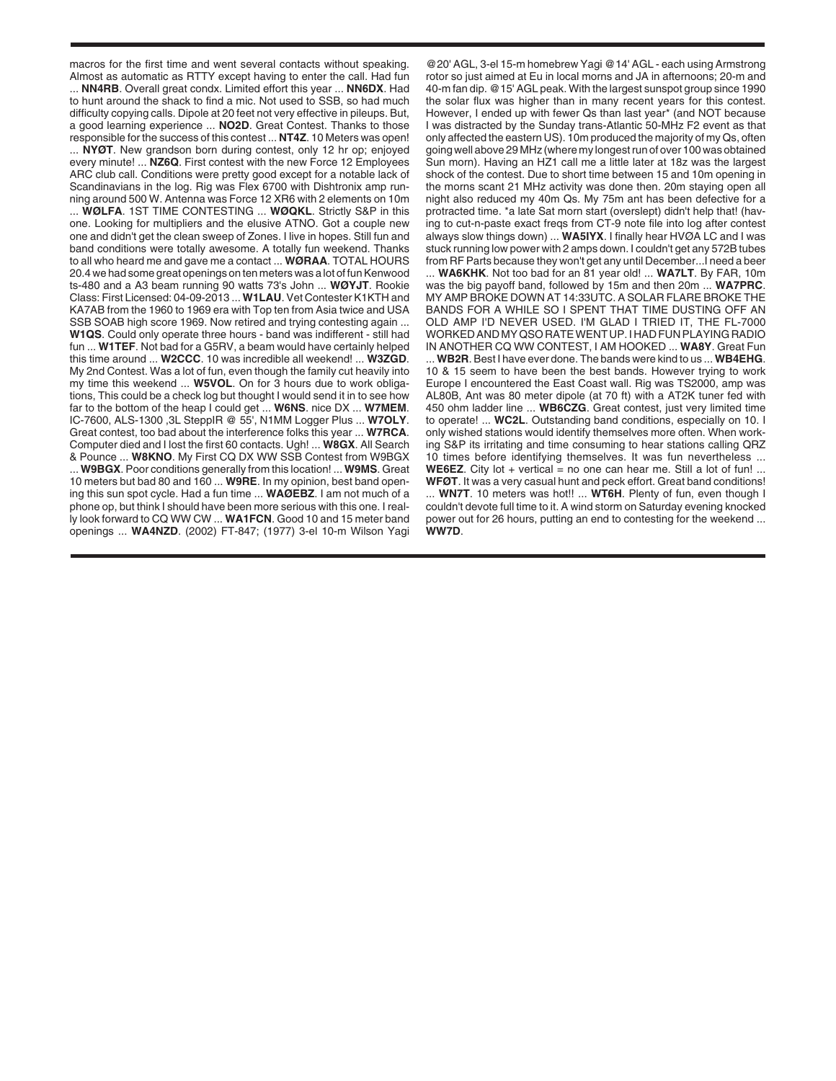macros for the first time and went several contacts without speaking. Almost as automatic as RTTY except having to enter the call. Had fun

... **NN4RB**. Overall great condx. Limited effort this year ... **NN6DX**. Had to hunt around the shack to find a mic. Not used to SSB, so had much difficulty copying calls. Dipole at 20 feet not very effective in pileups. But, a good learning experience ... **NO2D**. Great Contest. Thanks to those responsible for the success of this contest ... **NT4Z**. 10 Meters was open! ... **NYØT**. New grandson born during contest, only 12 hr op; enjoyed every minute! ... **NZ6Q**. First contest with the new Force 12 Employees ARC club call. Conditions were pretty good except for a notable lack of Scandinavians in the log. Rig was Flex 6700 with Dishtronix amp running around 500 W. Antenna was Force 12 XR6 with 2 elements on 10m

... **WØLFA**. 1ST TIME CONTESTING ... **WØQKL**. Strictly S&P in this one. Looking for multipliers and the elusive ATNO. Got a couple new one and didn't get the clean sweep of Zones. I live in hopes. Still fun and band conditions were totally awesome. A totally fun weekend. Thanks to all who heard me and gave me a contact ... **WØRAA**. TOTAL HOURS 20.4 we had some great openings on ten meters was a lot of fun Kenwood ts-480 and a A3 beam running 90 watts 73's John ... **WØYJT**. Rookie Class: First Licensed: 04-09-2013 ... **W1LAU**. Vet Contester K1KTH and KA7AB from the 1960 to 1969 era with Top ten from Asia twice and USA SSB SOAB high score 1969. Now retired and trying contesting again ... **W1QS**. Could only operate three hours - band was indifferent - still had fun ... **W1TEF**. Not bad for a G5RV, a beam would have certainly helped this time around ... **W2CCC**. 10 was incredible all weekend! ... **W3ZGD**. My 2nd Contest. Was a lot of fun, even though the family cut heavily into my time this weekend ... **W5VOL**. On for 3 hours due to work obligations, This could be a check log but thought I would send it in to see how far to the bottom of the heap I could get ... **W6NS**. nice DX ... **W7MEM**. IC-7600, ALS-1300 ,3L SteppIR @ 55', N1MM Logger Plus ... **W7OLY**. Great contest, too bad about the interference folks this year ... **W7RCA**. Computer died and I lost the first 60 contacts. Ugh! ... **W8GX**. All Search & Pounce ... **W8KNO**. My First CQ DX WW SSB Contest from W9BGX ... **W9BGX**. Poor conditions generally from this location! ... **W9MS**. Great 10 meters but bad 80 and 160 ... **W9RE**. In my opinion, best band opening this sun spot cycle. Had a fun time ... **WAØEBZ**. I am not much of a phone op, but think I should have been more serious with this one. I really look forward to CQ WW CW ... **WA1FCN**. Good 10 and 15 meter band openings ... **WA4NZD**. (2002) FT-847; (1977) 3-el 10-m Wilson Yagi

@20' AGL, 3-el 15-m homebrew Yagi @14' AGL - each using Armstrong rotor so just aimed at Eu in local morns and JA in afternoons; 20-m and 40-m fan dip. @15' AGL peak. With the largest sunspot group since 1990 the solar flux was higher than in many recent years for this contest. However, I ended up with fewer Qs than last year\* (and NOT because I was distracted by the Sunday trans-Atlantic 50-MHz F2 event as that only affected the eastern US). 10m produced the majority of my Qs, often going well above 29 MHz (where my longest run of over 100 was obtained Sun morn). Having an HZ1 call me a little later at 18z was the largest shock of the contest. Due to short time between 15 and 10m opening in the morns scant 21 MHz activity was done then. 20m staying open all night also reduced my 40m Qs. My 75m ant has been defective for a protracted time. \*a late Sat morn start (overslept) didn't help that! (having to cut-n-paste exact freqs from CT-9 note file into log after contest always slow things down) ... **WA5IYX**. I finally hear HVØA LC and I was stuck running low power with 2 amps down. I couldn't get any 572B tubes from RF Parts because they won't get any until December...I need a beer ... **WA6KHK**. Not too bad for an 81 year old! ... **WA7LT**. By FAR, 10m was the big payoff band, followed by 15m and then 20m ... **WA7PRC**. MY AMP BROKE DOWN AT 14:33UTC. A SOLAR FLARE BROKE THE BANDS FOR A WHILE SO I SPENT THAT TIME DUSTING OFF AN OLD AMP I'D NEVER USED. I'M GLAD I TRIED IT, THE FL-7000 WORKED AND MY QSO RATE WENT UP. I HAD FUN PLAYING RADIO IN ANOTHER CQ WW CONTEST, I AM HOOKED ... **WA8Y**. Great Fun ... **WB2R**. Best I have ever done. The bands were kind to us ... **WB4EHG**. 10 & 15 seem to have been the best bands. However trying to work Europe I encountered the East Coast wall. Rig was TS2000, amp was AL80B, Ant was 80 meter dipole (at 70 ft) with a AT2K tuner fed with 450 ohm ladder line ... **WB6CZG**. Great contest, just very limited time to operate! ... **WC2L**. Outstanding band conditions, especially on 10. I only wished stations would identify themselves more often. When working S&P its irritating and time consuming to hear stations calling QRZ 10 times before identifying themselves. It was fun nevertheless ... **WE6EZ.** City lot  $+$  vertical  $=$  no one can hear me. Still a lot of fun! ... **WFØT**. It was a very casual hunt and peck effort. Great band conditions! ... **WN7T**. 10 meters was hot!! ... **WT6H**. Plenty of fun, even though I

couldn't devote full time to it. A wind storm on Saturday evening knocked power out for 26 hours, putting an end to contesting for the weekend ... **WW7D**.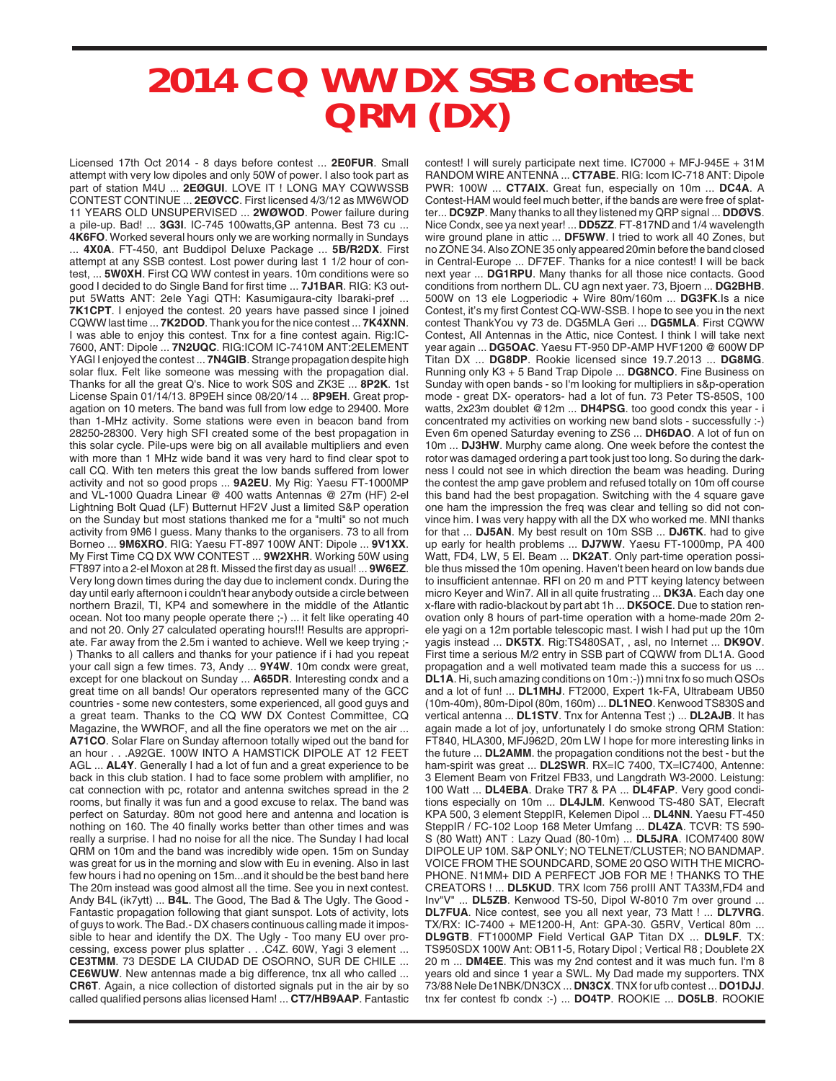## **2014 CQ WW DX SSB Contest QRM (DX)**

Licensed 17th Oct 2014 - 8 days before contest ... **2E0FUR**. Small attempt with very low dipoles and only 50W of power. I also took part as part of station M4U ... **2EØGUI**. LOVE IT ! LONG MAY CQWWSSB CONTEST CONTINUE ... **2EØVCC**. First licensed 4/3/12 as MW6WOD 11 YEARS OLD UNSUPERVISED ... **2WØWOD**. Power failure during a pile-up. Bad! ... **3G3I**. IC-745 100watts,GP antenna. Best 73 cu ... **4K6FO**. Worked several hours only we are working normally in Sundays ... **4X0A**. FT-450, ant Buddipol Deluxe Package ... **5B/R2DX**. First attempt at any SSB contest. Lost power during last 1 1/2 hour of contest, ... **5W0XH**. First CQ WW contest in years. 10m conditions were so good I decided to do Single Band for first time ... **7J1BAR**. RIG: K3 output 5Watts ANT: 2ele Yagi QTH: Kasumigaura-city Ibaraki-pref ... **7K1CPT**. I enjoyed the contest. 20 years have passed since I joined CQWW last time ... **7K2DOD**. Thank you for the nice contest ... **7K4XNN**. I was able to enjoy this contest. Tnx for a fine contest again. Rig:IC-7600, ANT: Dipole ... **7N2UQC**. RIG:ICOM IC-7410M ANT:2ELEMENT YAGI I enjoyed the contest ... **7N4GIB**. Strange propagation despite high solar flux. Felt like someone was messing with the propagation dial. Thanks for all the great Q's. Nice to work S0S and ZK3E ... **8P2K**. 1st License Spain 01/14/13. 8P9EH since 08/20/14 ... **8P9EH**. Great propagation on 10 meters. The band was full from low edge to 29400. More than 1-MHz activity. Some stations were even in beacon band from 28250-28300. Very high SFI created some of the best propagation in this solar cycle. Pile-ups were big on all available multipliers and even with more than 1 MHz wide band it was very hard to find clear spot to call CQ. With ten meters this great the low bands suffered from lower activity and not so good props ... **9A2EU**. My Rig: Yaesu FT-1000MP and VL-1000 Quadra Linear @ 400 watts Antennas @ 27m (HF) 2-el Lightning Bolt Quad (LF) Butternut HF2V Just a limited S&P operation on the Sunday but most stations thanked me for a "multi" so not much activity from 9M6 I guess. Many thanks to the organisers. 73 to all from Borneo ... **9M6XRO**. RIG: Yaesu FT-897 100W ANT: Dipole ... **9V1XX**. My First Time CQ DX WW CONTEST ... **9W2XHR**. Working 50W using FT897 into a 2-el Moxon at 28 ft. Missed the first day as usual! ... **9W6EZ**. Very long down times during the day due to inclement condx. During the day until early afternoon i couldn't hear anybody outside a circle between northern Brazil, TI, KP4 and somewhere in the middle of the Atlantic ocean. Not too many people operate there ;-) ... it felt like operating 40 and not 20. Only 27 calculated operating hours!!! Results are appropriate. Far away from the 2.5m i wanted to achieve. Well we keep trying ;- ) Thanks to all callers and thanks for your patience if i had you repeat your call sign a few times. 73, Andy ... **9Y4W**. 10m condx were great, except for one blackout on Sunday ... **A65DR**. Interesting condx and a great time on all bands! Our operators represented many of the GCC countries - some new contesters, some experienced, all good guys and a great team. Thanks to the CQ WW DX Contest Committee, CQ Magazine, the WWROF, and all the fine operators we met on the air ... **A71CO**. Solar Flare on Sunday afternoon totally wiped out the band for an hour . . .A92GE. 100W INTO A HAMSTICK DIPOLE AT 12 FEET AGL ... **AL4Y**. Generally I had a lot of fun and a great experience to be back in this club station. I had to face some problem with amplifier, no cat connection with pc, rotator and antenna switches spread in the 2 rooms, but finally it was fun and a good excuse to relax. The band was perfect on Saturday. 80m not good here and antenna and location is nothing on 160. The 40 finally works better than other times and was really a surprise. I had no noise for all the nice. The Sunday I had local QRM on 10m and the band was incredibly wide open. 15m on Sunday was great for us in the morning and slow with Eu in evening. Also in last few hours i had no opening on 15m...and it should be the best band here The 20m instead was good almost all the time. See you in next contest. Andy B4L (ik7ytt) ... **B4L**. The Good, The Bad & The Ugly. The Good - Fantastic propagation following that giant sunspot. Lots of activity, lots of guys to work. The Bad.- DX chasers continuous calling made it impossible to hear and identify the DX. The Ugly - Too many EU over processing, excess power plus splatter . . .C4Z. 60W, Yagi 3 element ... **CE3TMM**. 73 DESDE LA CIUDAD DE OSORNO, SUR DE CHILE ... **CE6WUW**. New antennas made a big difference, tnx all who called ... **CR6T**. Again, a nice collection of distorted signals put in the air by so called qualified persons alias licensed Ham! ... **CT7/HB9AAP**. Fantastic

contest! I will surely participate next time. IC7000 + MFJ-945E + 31M RANDOM WIRE ANTENNA ... **CT7ABE**. RIG: Icom IC-718 ANT: Dipole PWR: 100W ... **CT7AIX**. Great fun, especially on 10m ... **DC4A**. A Contest-HAM would feel much better, if the bands are were free of splatter... **DC9ZP**. Many thanks to all they listened my QRP signal ... **DDØVS**. Nice Condx, see ya next year! ... **DD5ZZ**. FT-817ND and 1/4 wavelength wire ground plane in attic ... **DF5WW**. I tried to work all 40 Zones, but no ZONE 34. Also ZONE 35 only appeared 20min before the band closed in Central-Europe ... DF7EF. Thanks for a nice contest! I will be back next year ... **DG1RPU**. Many thanks for all those nice contacts. Good conditions from northern DL. CU agn next yaer. 73, Bjoern ... **DG2BHB**. 500W on 13 ele Logperiodic + Wire 80m/160m ... **DG3FK**.Is a nice Contest. it's my first Contest CQ-WW-SSB. I hope to see you in the next contest ThankYou vy 73 de. DG5MLA Geri ... **DG5MLA**. First CQWW Contest, All Antennas in the Attic, nice Contest. I think I will take next year again ... **DG5OAC**. Yaesu FT-950 DP-AMP HVF1200 @ 600W DP Titan DX ... **DG8DP**. Rookie licensed since 19.7.2013 ... **DG8MG**. Running only K3 + 5 Band Trap Dipole ... **DG8NCO**. Fine Business on Sunday with open bands - so I'm looking for multipliers in s&p-operation mode - great DX- operators- had a lot of fun. 73 Peter TS-850S, 100 watts, 2x23m doublet @12m ... **DH4PSG**. too good condx this year - i concentrated my activities on working new band slots - successfully :-) Even 6m opened Saturday evening to ZS6 ... **DH6DAO**. A lot of fun on 10m ... **DJ3HW**. Murphy came along. One week before the contest the rotor was damaged ordering a part took just too long. So during the darkness I could not see in which direction the beam was heading. During the contest the amp gave problem and refused totally on 10m off course this band had the best propagation. Switching with the 4 square gave one ham the impression the freq was clear and telling so did not convince him. I was very happy with all the DX who worked me. MNI thanks for that ... **DJ5AN**. My best result on 10m SSB ... **DJ6TK**. had to give up early for health problems ... **DJ7WW**. Yaesu FT-1000mp, PA 400 Watt, FD4, LW, 5 El. Beam ... **DK2AT**. Only part-time operation possible thus missed the 10m opening. Haven't been heard on low bands due to insufficient antennae. RFI on 20 m and PTT keying latency between micro Keyer and Win7. All in all quite frustrating ... **DK3A**. Each day one x-flare with radio-blackout by part abt 1h ... **DK5OCE**. Due to station renovation only 8 hours of part-time operation with a home-made 20m 2 ele yagi on a 12m portable telescopic mast. I wish I had put up the 10m yagis instead ... **DK5TX**. Rig:TS480SAT, , asl, no Internet ... **DK9OV**. First time a serious M/2 entry in SSB part of CQWW from DL1A. Good propagation and a well motivated team made this a success for us ... **DL1A**. Hi, such amazing conditions on 10m :-)) mni tnx fo so much QSOs and a lot of fun! ... **DL1MHJ**. FT2000, Expert 1k-FA, Ultrabeam UB50 (10m-40m), 80m-Dipol (80m, 160m) ... **DL1NEO**. Kenwood TS830S and vertical antenna ... **DL1STV**. Tnx for Antenna Test ;) ... **DL2AJB**. It has again made a lot of joy, unfortunately I do smoke strong QRM Station: FT840, HLA300, MFJ962D, 20m LW I hope for more interesting links in the future ... **DL2AMM**. the propagation conditions not the best - but the ham-spirit was great ... **DL2SWR**. RX=IC 7400, TX=IC7400, Antenne: 3 Element Beam von Fritzel FB33, und Langdrath W3-2000. Leistung: 100 Watt ... **DL4EBA**. Drake TR7 & PA ... **DL4FAP**. Very good conditions especially on 10m ... **DL4JLM**. Kenwood TS-480 SAT, Elecraft KPA 500, 3 element SteppIR, Kelemen Dipol ... **DL4NN**. Yaesu FT-450 SteppIR / FC-102 Loop 168 Meter Umfang ... **DL4ZA**. TCVR: TS 590- S (80 Watt) ANT : Lazy Quad (80-10m) ... **DL5JRA**. ICOM7400 80W DIPOLE UP 10M. S&P ONLY; NO TELNET/CLUSTER; NO BANDMAP. VOICE FROM THE SOUNDCARD, SOME 20 QSO WITH THE MICRO-PHONE. N1MM+ DID A PERFECT JOB FOR ME ! THANKS TO THE CREATORS ! ... **DL5KUD**. TRX Icom 756 proIII ANT TA33M,FD4 and Inv"V" ... **DL5ZB**. Kenwood TS-50, Dipol W-8010 7m over ground ... **DL7FUA**. Nice contest, see you all next year, 73 Matt ! ... **DL7VRG**. TX/RX: IC-7400 + ME1200-H, Ant: GPA-30. G5RV, Vertical 80m ... **DL9GTB**. FT1000MP Field Vertical GAP Titan DX ... **DL9LF**. TX: TS950SDX 100W Ant: OB11-5, Rotary Dipol ; Vertical R8 ; Doublete 2X 20 m ... **DM4EE**. This was my 2nd contest and it was much fun. I'm 8 years old and since 1 year a SWL. My Dad made my supporters. TNX 73/88 Nele De1NBK/DN3CX ... **DN3CX**. TNX for ufb contest ... **DO1DJJ**. tnx fer contest fb condx :-) ... **DO4TP**. ROOKIE ... **DO5LB**. ROOKIE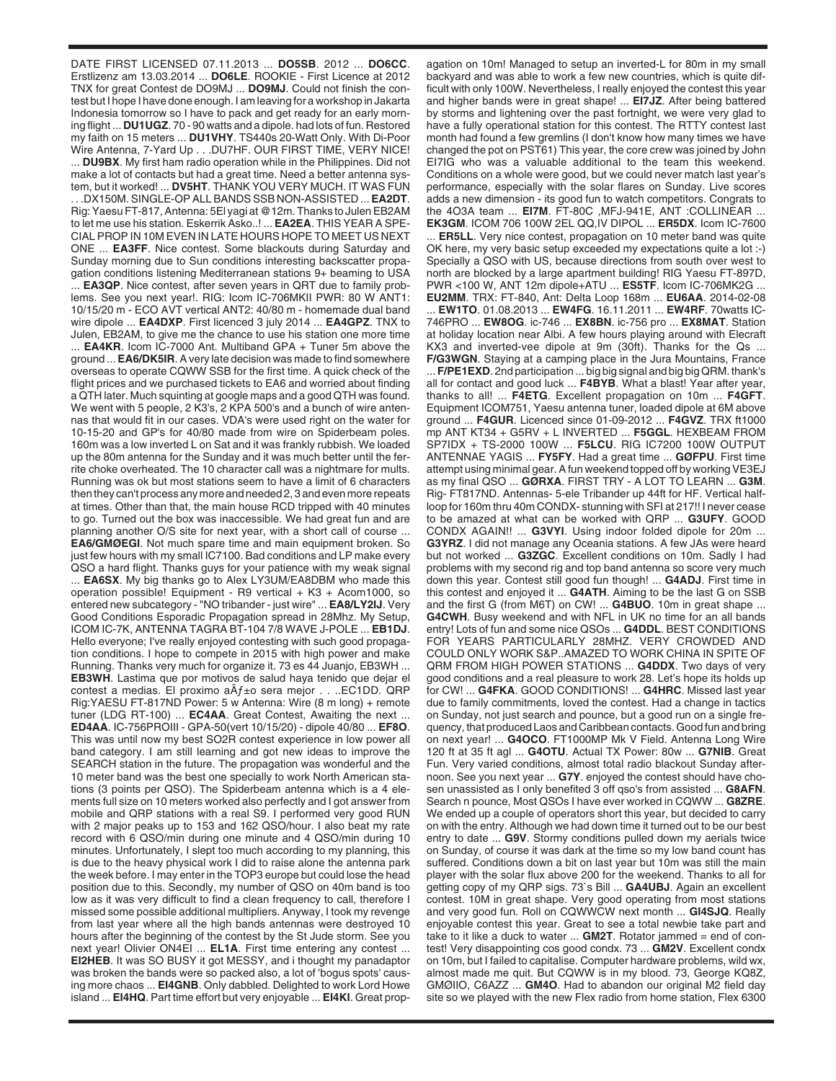DATE FIRST LICENSED 07.11.2013 ... **DO5SB**. 2012 ... **DO6CC**. Erstlizenz am 13.03.2014 ... **DO6LE**. ROOKIE - First Licence at 2012 TNX for great Contest de DO9MJ ... **DO9MJ**. Could not finish the contest but I hope I have done enough. I am leaving for a workshop in Jakarta Indonesia tomorrow so I have to pack and get ready for an early morning flight ... **DU1UGZ**. 70 - 90 watts and a dipole. had lots of fun. Restored my faith on 15 meters ... **DU1VHY**. TS440s 20-Watt Only. With Di-Poor Wire Antenna, 7-Yard Up . . .DU7HF. OUR FIRST TIME, VERY NICE! ... **DU9BX**. My first ham radio operation while in the Philippines. Did not make a lot of contacts but had a great time. Need a better antenna system, but it worked! ... **DV5HT**. THANK YOU VERY MUCH. IT WAS FUN . . .DX150M. SINGLE-OP ALL BANDS SSB NON-ASSISTED ... **EA2DT**. Rig: Yaesu FT-817, Antenna: 5El yagi at @12m. Thanks to Julen EB2AM to let me use his station. Eskerrik Asko..! ... **EA2EA**. THIS YEAR A SPE-CIAL PROP IN 10M EVEN IN LATE HOURS HOPE TO MEET US NEXT ONE ... **EA3FF**. Nice contest. Some blackouts during Saturday and Sunday morning due to Sun conditions interesting backscatter propagation conditions listening Mediterranean stations 9+ beaming to USA ... **EA3QP**. Nice contest, after seven years in QRT due to family problems. See you next year!. RIG: Icom IC-706MKII PWR: 80 W ANT1: 10/15/20 m - ECO AVT vertical ANT2: 40/80 m - homemade dual band wire dipole ... **EA4DXP**. First licenced 3 july 2014 ... **EA4GPZ**. TNX to Julen, EB2AM, to give me the chance to use his station one more time

... **EA4KR**. Icom IC-7000 Ant. Multiband GPA + Tuner 5m above the ground ... **EA6/DK5IR**. A very late decision was made to find somewhere overseas to operate CQWW SSB for the first time. A quick check of the flight prices and we purchased tickets to EA6 and worried about finding a QTH later. Much squinting at google maps and a good QTH was found. We went with 5 people, 2 K3's, 2 KPA 500's and a bunch of wire antennas that would fit in our cases. VDA's were used right on the water for 10-15-20 and GP's for 40/80 made from wire on Spiderbeam poles. 160m was a low inverted L on Sat and it was frankly rubbish. We loaded up the 80m antenna for the Sunday and it was much better until the ferrite choke overheated. The 10 character call was a nightmare for mults. Running was ok but most stations seem to have a limit of 6 characters then they can't process any more and needed 2, 3 and even more repeats at times. Other than that, the main house RCD tripped with 40 minutes to go. Turned out the box was inaccessible. We had great fun and are planning another O/S site for next year, with a short call of course ... **EA6/GMØEGI**. Not much spare time and main equipment broken. So just few hours with my small IC7100. Bad conditions and LP make every QSO a hard flight. Thanks guys for your patience with my weak signal ... **EA6SX**. My big thanks go to Alex LY3UM/EA8DBM who made this operation possible! Equipment - R9 vertical + K3 + Acom1000, so entered new subcategory - "NO tribander - just wire" ... **EA8/LY2IJ**. Very Good Conditions Esporadic Propagation spread in 28Mhz. My Setup, ICOM IC-7K, ANTENNA TAGRA BT-104 7/8 WAVE J-POLE ... **EB1DJ**. Hello everyone; I've really enjoyed contesting with such good propagation conditions. I hope to compete in 2015 with high power and make Running. Thanks very much for organize it. 73 es 44 Juanjo, EB3WH ... **EB3WH**. Lastima que por motivos de salud haya tenido que dejar el contest a medias. El proximo  $a\tilde{A}f\pm o$  sera mejor . . ..EC1DD. QRP Rig:YAESU FT-817ND Power: 5 w Antenna: Wire (8 m long) + remote tuner (LDG RT-100) ... **EC4AA**. Great Contest, Awaiting the next ... **ED4AA**. IC-756PROIII - GPA-50(vert 10/15/20) - dipole 40/80 ... **EF8O**. This was until now my best SO2R contest experience in low power all band category. I am still learning and got new ideas to improve the SEARCH station in the future. The propagation was wonderful and the 10 meter band was the best one specially to work North American stations (3 points per QSO). The Spiderbeam antenna which is a 4 elements full size on 10 meters worked also perfectly and I got answer from mobile and QRP stations with a real S9. I performed very good RUN with 2 major peaks up to 153 and 162 QSO/hour. I also beat my rate record with 6 QSO/min during one minute and 4 QSO/min during 10 minutes. Unfortunately, I slept too much according to my planning, this is due to the heavy physical work I did to raise alone the antenna park the week before. I may enter in the TOP3 europe but could lose the head position due to this. Secondly, my number of QSO on 40m band is too low as it was very difficult to find a clean frequency to call, therefore I missed some possible additional multipliers. Anyway, I took my revenge from last year where all the high bands antennas were destroyed 10 hours after the beginning of the contest by the St Jude storm. See you next year! Olivier ON4EI ... **EL1A**. First time entering any contest ... **EI2HEB**. It was SO BUSY it got MESSY, and i thought my panadaptor was broken the bands were so packed also, a lot of 'bogus spots' causing more chaos ... **EI4GNB**. Only dabbled. Delighted to work Lord Howe island ... **EI4HQ**. Part time effort but very enjoyable ... **EI4KI**. Great propagation on 10m! Managed to setup an inverted-L for 80m in my small backyard and was able to work a few new countries, which is quite difficult with only 100W. Nevertheless, I really enjoyed the contest this year and higher bands were in great shape! ... **EI7JZ**. After being battered by storms and lightening over the past fortnight, we were very glad to have a fully operational station for this contest. The RTTY contest last month had found a few gremlins (I don't know how many times we have changed the pot on PST61) This year, the core crew was joined by John EI7IG who was a valuable additional to the team this weekend. Conditions on a whole were good, but we could never match last year's performance, especially with the solar flares on Sunday. Live scores adds a new dimension - its good fun to watch competitors. Congrats to the 4O3A team ... **EI7M**. FT-80C ,MFJ-941E, ANT :COLLINEAR ...

**EK3GM**. ICOM 706 100W 2EL QQ,IV DIPOL ... **ER5DX**. Icom IC-7600 ... **ER5LL**. Very nice contest, propagation on 10 meter band was quite OK here, my very basic setup exceeded my expectations quite a lot :-) Specially a QSO with US, because directions from south over west to north are blocked by a large apartment building! RIG Yaesu FT-897D, PWR <100 W, ANT 12m dipole+ATU ... **ES5TF**. Icom IC-706MK2G ... **EU2MM**. TRX: FT-840, Ant: Delta Loop 168m ... **EU6AA**. 2014-02-08 ... **EW1TO**. 01.08.2013 ... **EW4FG**. 16.11.2011 ... **EW4RF**. 70watts IC-746PRO ... **EW8OG**. ic-746 ... **EX8BN**. ic-756 pro ... **EX8MAT**. Station at holiday location near Albi. A few hours playing around with Elecraft

KX3 and inverted-vee dipole at 9m (30ft). Thanks for the Qs ... **F/G3WGN**. Staying at a camping place in the Jura Mountains, France ... **F/PE1EXD**. 2nd participation ... big big signal and big big QRM. thank's all for contact and good luck ... **F4BYB**. What a blast! Year after year, thanks to all! ... **F4ETG**. Excellent propagation on 10m ... **F4GFT**. Equipment ICOM751, Yaesu antenna tuner, loaded dipole at 6M above ground ... **F4GUR**. Licenced since 01-09-2012 ... **F4GVZ**. TRX ft1000 mp ANT KT34 + G5RV + L INVERTED ... **F5GGL**. HEXBEAM FROM SP7IDX + TS-2000 100W ... **F5LCU**. RIG IC7200 100W OUTPUT ANTENNAE YAGIS ... **FY5FY**. Had a great time ... **GØFPU**. First time attempt using minimal gear. A fun weekend topped off by working VE3EJ as my final QSO ... **GØRXA**. FIRST TRY - A LOT TO LEARN ... **G3M**. Rig- FT817ND. Antennas- 5-ele Tribander up 44ft for HF. Vertical halfloop for 160m thru 40m CONDX- stunning with SFI at 217!! I never cease to be amazed at what can be worked with QRP ... **G3UFY**. GOOD CONDX AGAIN!! ... **G3VYI**. Using indoor folded dipole for 20m ... **G3YRZ**. I did not manage any Oceania stations. A few JAs were heard but not worked ... **G3ZGC**. Excellent conditions on 10m. Sadly I had problems with my second rig and top band antenna so score very much down this year. Contest still good fun though! ... **G4ADJ**. First time in this contest and enjoyed it ... **G4ATH**. Aiming to be the last G on SSB and the first G (from M6T) on CW! ... **G4BUO**. 10m in great shape ... **G4CWH**. Busy weekend and with NFL in UK no time for an all bands entry! Lots of fun and some nice QSOs ... **G4DDL**. BEST CONDITIONS FOR YEARS PARTICULARLY 28MHZ. VERY CROWDED AND COULD ONLY WORK S&P..AMAZED TO WORK CHINA IN SPITE OF QRM FROM HIGH POWER STATIONS ... **G4DDX**. Two days of very good conditions and a real pleasure to work 28. Let's hope its holds up for CW! ... **G4FKA**. GOOD CONDITIONS! ... **G4HRC**. Missed last year due to family commitments, loved the contest. Had a change in tactics on Sunday, not just search and pounce, but a good run on a single frequency, that produced Laos and Caribbean contacts. Good fun and bring on next year! ... **G4OCO**. FT1000MP Mk V Field. Antenna Long Wire 120 ft at 35 ft agl ... **G4OTU**. Actual TX Power: 80w ... **G7NIB**. Great Fun. Very varied conditions, almost total radio blackout Sunday afternoon. See you next year ... **G7Y**. enjoyed the contest should have chosen unassisted as I only benefited 3 off qso's from assisted ... **G8AFN**. Search n pounce, Most QSOs I have ever worked in CQWW ... **G8ZRE**. We ended up a couple of operators short this year, but decided to carry on with the entry. Although we had down time it turned out to be our best entry to date ... **G9V**. Stormy conditions pulled down my aerials twice on Sunday, of course it was dark at the time so my low band count has suffered. Conditions down a bit on last year but 10m was still the main player with the solar flux above 200 for the weekend. Thanks to all for getting copy of my QRP sigs. 73`s Bill ... **GA4UBJ**. Again an excellent contest. 10M in great shape. Very good operating from most stations and very good fun. Roll on CQWWCW next month ... **GI4SJQ**. Really enjoyable contest this year. Great to see a total newbie take part and take to it like a duck to water ... **GM2T**. Rotator jammed = end of contest! Very disappointing cos good condx. 73 ... **GM2V**. Excellent condx on 10m, but I failed to capitalise. Computer hardware problems, wild wx, almost made me quit. But CQWW is in my blood. 73, George KQ8Z, GMØIIO, C6AZZ ... **GM4O**. Had to abandon our original M2 field day site so we played with the new Flex radio from home station, Flex 6300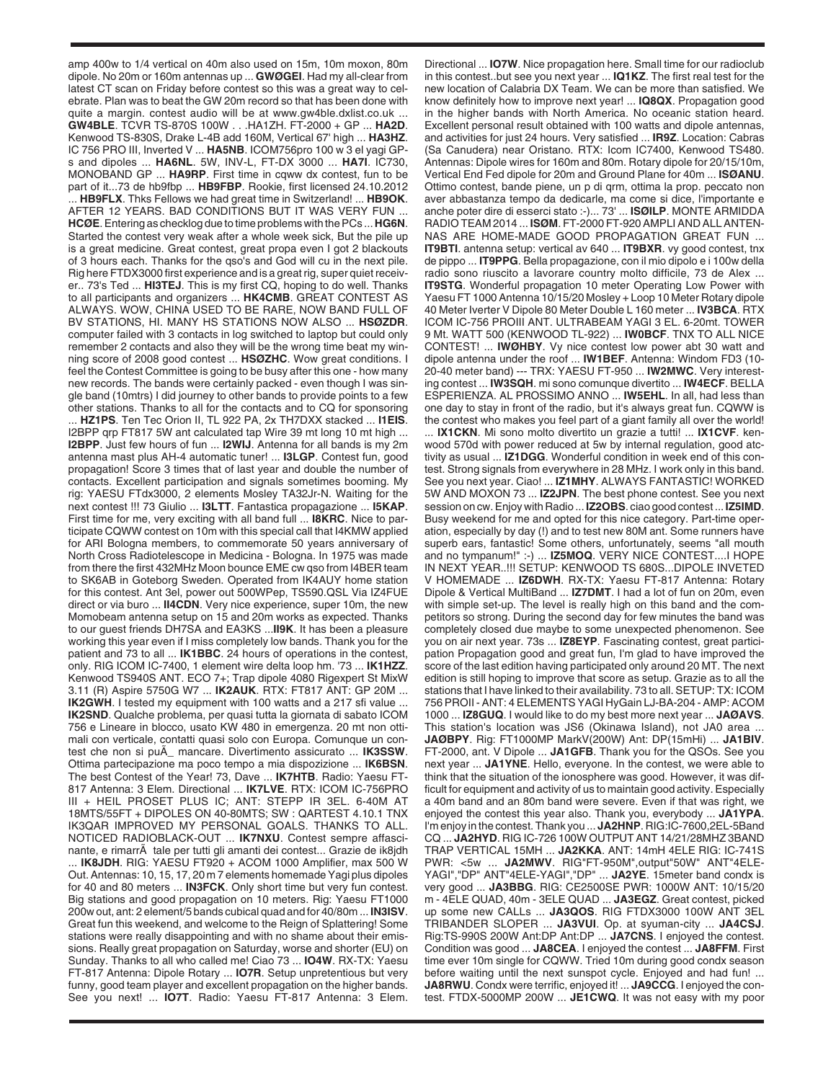amp 400w to 1/4 vertical on 40m also used on 15m, 10m moxon, 80m dipole. No 20m or 160m antennas up ... **GWØGEI**. Had my all-clear from latest CT scan on Friday before contest so this was a great way to celebrate. Plan was to beat the GW 20m record so that has been done with quite a margin. contest audio will be at www.gw4ble.dxlist.co.uk. **GW4BLE**. TCVR TS-870S 100W . . .HA1ZH. FT-2000 + GP ... **HA2D**. Kenwood TS-830S, Drake L-4B add 160M, Vertical 67' high ... **HA3HZ**. IC 756 PRO III, Inverted V ... **HA5NB**. ICOM756pro 100 w 3 el yagi GPs and dipoles ... **HA6NL**. 5W, INV-L, FT-DX 3000 ... **HA7I**. IC730, MONOBAND GP ... **HA9RP**. First time in cqww dx contest, fun to be part of it...73 de hb9fbp ... **HB9FBP**. Rookie, first licensed 24.10.2012 ... **HB9FLX**. Thks Fellows we had great time in Switzerland! ... **HB9OK**. AFTER 12 YEARS. BAD CONDITIONS BUT IT WAS VERY FUN ... **HCØE**. Entering as checklog due to time problems with the PCs ... **HG6N**. Started the contest very weak after a whole week sick, But the pile up is a great medicine. Great contest, great propa even I got 2 blackouts of 3 hours each. Thanks for the qso's and God will cu in the next pile. Rig here FTDX3000 first experience and is a great rig, super quiet receiver.. 73's Ted ... **HI3TEJ**. This is my first CQ, hoping to do well. Thanks to all participants and organizers ... **HK4CMB**. GREAT CONTEST AS ALWAYS. WOW, CHINA USED TO BE RARE, NOW BAND FULL OF BV STATIONS, HI. MANY HS STATIONS NOW ALSO ... **HSØZDR**. computer failed with 3 contacts in log switched to laptop but could only remember 2 contacts and also they will be the wrong time beat my winning score of 2008 good contest ... **HSØZHC**. Wow great conditions. I feel the Contest Committee is going to be busy after this one - how many new records. The bands were certainly packed - even though I was single band (10mtrs) I did journey to other bands to provide points to a few other stations. Thanks to all for the contacts and to CQ for sponsoring ... **HZ1PS**. Ten Tec Orion II, TL 922 PA, 2x TH7DXX stacked ... **I1EIS**. I2BPP qrp FT817 5W ant calculated tap Wire 39 mt long 10 mt high ... **I2BPP**. Just few hours of fun ... **I2WIJ**. Antenna for all bands is my 2m antenna mast plus AH-4 automatic tuner! ... **I3LGP**. Contest fun, good propagation! Score 3 times that of last year and double the number of contacts. Excellent participation and signals sometimes booming. My rig: YAESU FTdx3000, 2 elements Mosley TA32Jr-N. Waiting for the next contest !!! 73 Giulio ... **I3LTT**. Fantastica propagazione ... **I5KAP**. First time for me, very exciting with all band full ... **I8KRC**. Nice to participate CQWW contest on 10m with this special call that I4KMW applied for ARI Bologna members, to commemorate 50 years anniversary of North Cross Radiotelescope in Medicina - Bologna. In 1975 was made from there the first 432MHz Moon bounce EME cw qso from I4BER team to SK6AB in Goteborg Sweden. Operated from IK4AUY home station for this contest. Ant 3el, power out 500WPep, TS590.QSL Via IZ4FUE direct or via buro ... **II4CDN**. Very nice experience, super 10m, the new Momobeam antenna setup on 15 and 20m works as expected. Thanks to our guest friends DH7SA and EA3KS ...**II9K**. It has been a pleasure working this year even if I miss completely low bands. Thank you for the patient and 73 to all ... **IK1BBC**. 24 hours of operations in the contest, only. RIG ICOM IC-7400, 1 element wire delta loop hm. '73 ... **IK1HZZ**. Kenwood TS940S ANT. ECO 7+; Trap dipole 4080 Rigexpert St MixW 3.11 (R) Aspire 5750G W7 ... **IK2AUK**. RTX: FT817 ANT: GP 20M ... **IK2GWH.** I tested my equipment with 100 watts and a 217 sfi value ... **IK2SND**. Qualche problema, per quasi tutta la giornata di sabato ICOM 756 e Lineare in blocco, usato KW 480 in emergenza. 20 mt non ottimali con verticale, contatti quasi solo con Europa. Comunque un contest che non si puÃ\_ mancare. Divertimento assicurato ... **IK3SSW**. Ottima partecipazione ma poco tempo a mia dispozizione ... **IK6BSN**. The best Contest of the Year! 73, Dave ... **IK7HTB**. Radio: Yaesu FT-817 Antenna: 3 Elem. Directional ... **IK7LVE**. RTX: ICOM IC-756PRO III + HEIL PROSET PLUS IC; ANT: STEPP IR 3EL. 6-40M AT 18MTS/55FT + DIPOLES ON 40-80MTS; SW : QARTEST 4.10.1 TNX IK3QAR IMPROVED MY PERSONAL GOALS. THANKS TO ALL. NOTICED RADIOBLACK-OUT ... **IK7NXU**. Contest sempre affascinante, e rimarrà tale per tutti gli amanti dei contest... Grazie de ik8jdh ... **IK8JDH**. RIG: YAESU FT920 + ACOM 1000 Amplifier, max 500 W Out. Antennas: 10, 15, 17, 20 m 7 elements homemade Yagi plus dipoles for 40 and 80 meters ... **IN3FCK**. Only short time but very fun contest. Big stations and good propagation on 10 meters. Rig: Yaesu FT1000 200w out, ant: 2 element/5 bands cubical quad and for 40/80m ... **IN3ISV**. Great fun this weekend, and welcome to the Reign of Splattering! Some stations were really disappointing and with no shame about their emissions. Really great propagation on Saturday, worse and shorter (EU) on Sunday. Thanks to all who called me! Ciao 73 ... **IO4W**. RX-TX: Yaesu FT-817 Antenna: Dipole Rotary ... **IO7R**. Setup unpretentious but very funny, good team player and excellent propagation on the higher bands. See you next! ... **IO7T**. Radio: Yaesu FT-817 Antenna: 3 Elem.

Directional ... **IO7W**. Nice propagation here. Small time for our radioclub in this contest..but see you next year ... **IQ1KZ**. The first real test for the new location of Calabria DX Team. We can be more than satisfied. We know definitely how to improve next year! ... **IQ8QX**. Propagation good in the higher bands with North America. No oceanic station heard. Excellent personal result obtained with 100 watts and dipole antennas, and activities for just 24 hours. Very satisfied ... **IR9Z**. Location: Cabras (Sa Canudera) near Oristano. RTX: Icom IC7400, Kenwood TS480. Antennas: Dipole wires for 160m and 80m. Rotary dipole for 20/15/10m, Vertical End Fed dipole for 20m and Ground Plane for 40m ... **ISØANU**. Ottimo contest, bande piene, un p di qrm, ottima la prop. peccato non aver abbastanza tempo da dedicarle, ma come si dice, l'importante e anche poter dire di esserci stato :-)... 73' ... **ISØILP**. MONTE ARMIDDA RADIO TEAM 2014 ... **ISØM**. FT-2000 FT-920 AMPLI AND ALL ANTEN-NAS ARE HOME-MADE GOOD PROPAGATION GREAT FUN ... **IT9BTI**. antenna setup: vertical av 640 ... **IT9BXR**. vy good contest, tnx de pippo ... **IT9PPG**. Bella propagazione, con il mio dipolo e i 100w della radio sono riuscito a lavorare country molto difficile, 73 de Alex ... **IT9STG**. Wonderful propagation 10 meter Operating Low Power with Yaesu FT 1000 Antenna 10/15/20 Mosley + Loop 10 Meter Rotary dipole 40 Meter Iverter V Dipole 80 Meter Double L 160 meter ... **IV3BCA**. RTX ICOM IC-756 PROIII ANT. ULTRABEAM YAGI 3 EL. 6-20mt. TOWER 9 Mt. WATT 500 (KENWOOD TL-922) ... **IW0BCF**. TNX TO ALL NICE CONTEST! ... **IWØHBY**. Vy nice contest low power abt 30 watt and dipole antenna under the roof ... **IW1BEF**. Antenna: Windom FD3 (10- 20-40 meter band) --- TRX: YAESU FT-950 ... **IW2MWC**. Very interesting contest ... **IW3SQH**. mi sono comunque divertito ... **IW4ECF**. BELLA ESPERIENZA. AL PROSSIMO ANNO ... **IW5EHL**. In all, had less than one day to stay in front of the radio, but it's always great fun. CQWW is the contest who makes you feel part of a giant family all over the world! ... **IX1CKN**. Mi sono molto divertito un grazie a tutti! ... **IX1CVF**. kenwood 570d with power reduced at 5w by internal regulation, good atctivity as usual ... **IZ1DGG**. Wonderful condition in week end of this contest. Strong signals from everywhere in 28 MHz. I work only in this band. See you next year. Ciao! ... **IZ1MHY**. ALWAYS FANTASTIC! WORKED 5W AND MOXON 73 ... **IZ2JPN**. The best phone contest. See you next session on cw. Enjoy with Radio ... **IZ2OBS**. ciao good contest ... **IZ5IMD**. Busy weekend for me and opted for this nice category. Part-time operation, especially by day (!) and to test new 80M ant. Some runners have superb ears, fantastic! Some others, unfortunately, seems "all mouth and no tympanum!" :-) ... **IZ5MOQ**. VERY NICE CONTEST....I HOPE IN NEXT YEAR..!!! SETUP: KENWOOD TS 680S...DIPOLE INVETED V HOMEMADE ... **IZ6DWH**. RX-TX: Yaesu FT-817 Antenna: Rotary Dipole & Vertical MultiBand ... **IZ7DMT**. I had a lot of fun on 20m, even with simple set-up. The level is really high on this band and the competitors so strong. During the second day for few minutes the band was completely closed due maybe to some unexpected phenomenon. See you on air next year. 73s ... **IZ8EYP**. Fascinating contest, great participation Propagation good and great fun, I'm glad to have improved the score of the last edition having participated only around 20 MT. The next edition is still hoping to improve that score as setup. Grazie as to all the stations that I have linked to their availability. 73 to all. SETUP: TX: ICOM 756 PROII - ANT: 4 ELEMENTS YAGI HyGain LJ-BA-204 - AMP: ACOM 1000 ... **IZ8GUQ**. I would like to do my best more next year ... **JAØAVS**. This station's location was JS6 (Okinawa Island), not JA0 area ... **JAØBPY**. Rig: FT1000MP MarkV(200W) Ant: DP(15mHi) ... **JA1BIV**. FT-2000, ant. V Dipole ... **JA1GFB**. Thank you for the QSOs. See you next year ... **JA1YNE**. Hello, everyone. In the contest, we were able to think that the situation of the ionosphere was good. However, it was difficult for equipment and activity of us to maintain good activity. Especially a 40m band and an 80m band were severe. Even if that was right, we enjoyed the contest this year also. Thank you, everybody ... **JA1YPA**. I'm enjoy in the contest. Thank you ... **JA2HNP**. RIG:IC-7600,2EL-5Band CQ ... **JA2HYD**. RIG IC-726 100W OUTPUT ANT 14/21/28MHZ 3BAND TRAP VERTICAL 15MH ... **JA2KKA**. ANT: 14mH 4ELE RIG: IC-741S PWR: <5w ... **JA2MWV**. RIG"FT-950M",output"50W" ANT"4ELE-YAGI","DP" ANT"4ELE-YAGI","DP" ... **JA2YE**. 15meter band condx is very good ... **JA3BBG**. RIG: CE2500SE PWR: 1000W ANT: 10/15/20 m - 4ELE QUAD, 40m - 3ELE QUAD ... **JA3EGZ**. Great contest, picked up some new CALLs ... **JA3QOS**. RIG FTDX3000 100W ANT 3EL TRIBANDER SLOPER ... **JA3VUI**. Op. at syuman-city ... **JA4CSJ**. Rig:TS-990S 200W Ant:DP Ant:DP ... **JA7CNS**. I enjoyed the contest. Condition was good ... **JA8CEA**. I enjoyed the contest ... **JA8FFM**. First time ever 10m single for CQWW. Tried 10m during good condx season before waiting until the next sunspot cycle. Enjoyed and had fun! ... **JA8RWU**. Condx were terrific, enjoyed it! ... **JA9CCG**. I enjoyed the contest. FTDX-5000MP 200W ... **JE1CWQ**. It was not easy with my poor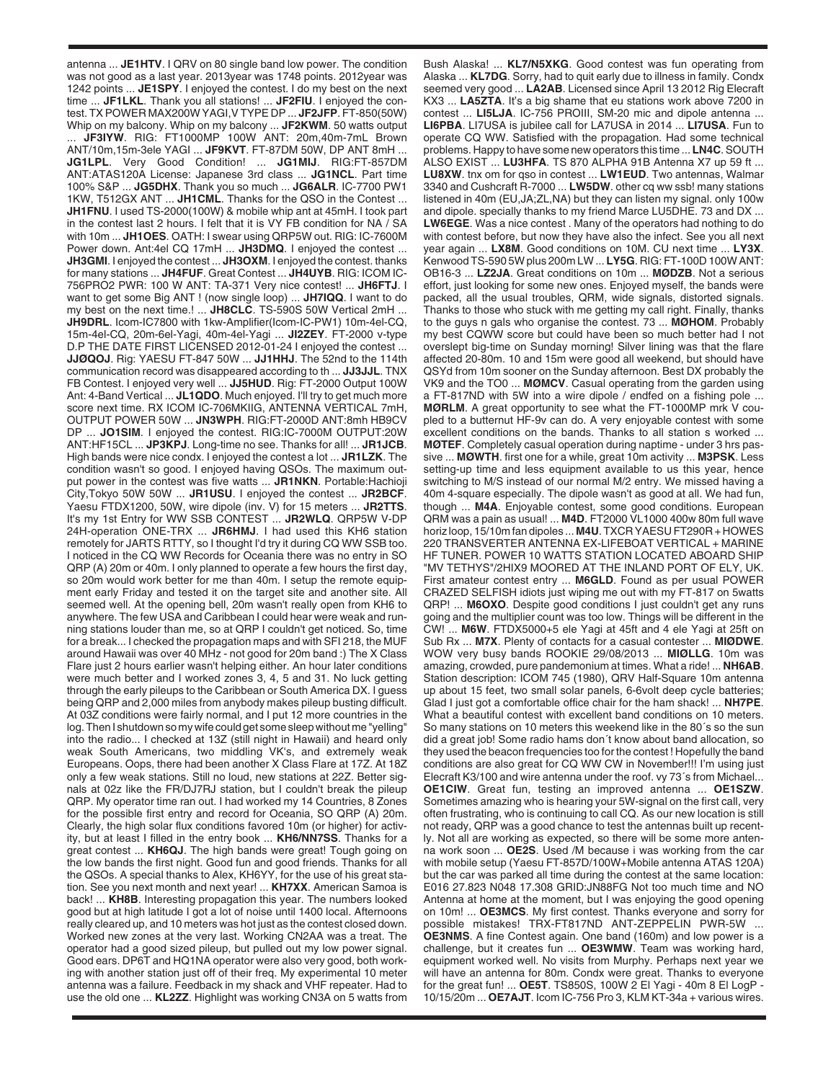antenna ... **JE1HTV**. I QRV on 80 single band low power. The condition was not good as a last year. 2013year was 1748 points. 2012year was 1242 points ... **JE1SPY**. I enjoyed the contest. I do my best on the next time ... **JF1LKL**. Thank you all stations! ... **JF2FIU**. I enjoyed the contest. TX POWER MAX200W YAGI,V TYPE DP ... **JF2JFP**. FT-850(50W) Whip on my balcony. Whip on my balcony ... **JF2KWM**. 50 watts output ... **JF3IYW**. RIG: FT1000MP 100W ANT: 20m,40m-7mL Brown ANT/10m,15m-3ele YAGI ... **JF9KVT**. FT-87DM 50W, DP ANT 8mH ... **JG1LPL**. Very Good Condition! ... **JG1MIJ**. RIG:FT-857DM ANT:ATAS120A License: Japanese 3rd class ... **JG1NCL**. Part time 100% S&P ... **JG5DHX**. Thank you so much ... **JG6ALR**. IC-7700 PW1 1KW, T512GX ANT ... **JH1CML**. Thanks for the QSO in the Contest ... **JH1FNU**. I used TS-2000(100W) & mobile whip ant at 45mH. I took part in the contest last 2 hours. I felt that it is VY FB condition for NA / SA with 10m ... **JH1OES**. OATH: I swear using QRP5W out. RIG: IC-7600M Power down. Ant:4el CQ 17mH ... **JH3DMQ**. I enjoyed the contest ... **JH3GMI**. I enjoyed the contest ... **JH3OXM**. I enjoyed the contest. thanks for many stations ... **JH4FUF**. Great Contest ... **JH4UYB**. RIG: ICOM IC-756PRO2 PWR: 100 W ANT: TA-371 Very nice contest! ... **JH6FTJ**. I want to get some Big ANT ! (now single loop) ... **JH7IQQ**. I want to do my best on the next time.! ... **JH8CLC**. TS-590S 50W Vertical 2mH ... **JH9DRL**. Icom-IC7800 with 1kw-Amplifier(Icom-IC-PW1) 10m-4el-CQ, 15m-4el-CQ, 20m-6el-Yagi, 40m-4el-Yagi ... **JI2ZEY**. FT-2000 v-type D.P THE DATE FIRST LICENSED 2012-01-24 I enjoyed the contest ... **JJØQOJ**. Rig: YAESU FT-847 50W ... **JJ1HHJ**. The 52nd to the 114th communication record was disappeared according to th ... **JJ3JJL**. TNX FB Contest. I enjoyed very well ... **JJ5HUD**. Rig: FT-2000 Output 100W Ant: 4-Band Vertical ... **JL1QDO**. Much enjoyed. I'll try to get much more score next time. RX ICOM IC-706MKIIG, ANTENNA VERTICAL 7mH, OUTPUT POWER 50W ... **JN3WPH**. RIG:FT-2000D ANT:8mh HB9CV DP ... **JO1SIM**. I enjoyed the contest. RIG:IC-7000M OUTPUT:20W ANT:HF15CL ... **JP3KPJ**. Long-time no see. Thanks for all! ... **JR1JCB**. High bands were nice condx. I enjoyed the contest a lot ... **JR1LZK**. The condition wasn't so good. I enjoyed having QSOs. The maximum output power in the contest was five watts ... **JR1NKN**. Portable:Hachioji City,Tokyo 50W 50W ... **JR1USU**. I enjoyed the contest ... **JR2BCF**. Yaesu FTDX1200, 50W, wire dipole (inv. V) for 15 meters ... **JR2TTS**. It's my 1st Entry for WW SSB CONTEST ... **JR2WLQ**. QRP5W V-DP 24H-operation ONE-TRX ... **JR6HMJ**. I had used this KH6 station remotely for JARTS RTTY, so I thought I'd try it during CQ WW SSB too. I noticed in the CQ WW Records for Oceania there was no entry in SO QRP (A) 20m or 40m. I only planned to operate a few hours the first day, so 20m would work better for me than 40m. I setup the remote equipment early Friday and tested it on the target site and another site. All seemed well. At the opening bell, 20m wasn't really open from KH6 to anywhere. The few USA and Caribbean I could hear were weak and running stations louder than me, so at QRP I couldn't get noticed. So, time for a break... I checked the propagation maps and with SFI 218, the MUF around Hawaii was over 40 MHz - not good for 20m band :) The X Class Flare just 2 hours earlier wasn't helping either. An hour later conditions were much better and I worked zones 3, 4, 5 and 31. No luck getting through the early pileups to the Caribbean or South America DX. I guess being QRP and 2,000 miles from anybody makes pileup busting difficult. At 03Z conditions were fairly normal, and I put 12 more countries in the log. Then I shutdown so my wife could get some sleep without me "yelling" into the radio... I checked at 13Z (still night in Hawaii) and heard only weak South Americans, two middling VK's, and extremely weak Europeans. Oops, there had been another X Class Flare at 17Z. At 18Z only a few weak stations. Still no loud, new stations at 22Z. Better signals at 02z like the FR/DJ7RJ station, but I couldn't break the pileup QRP. My operator time ran out. I had worked my 14 Countries, 8 Zones for the possible first entry and record for Oceania, SO QRP (A) 20m. Clearly, the high solar flux conditions favored 10m (or higher) for activity, but at least I filled in the entry book ... **KH6/NN7SS**. Thanks for a great contest ... **KH6QJ**. The high bands were great! Tough going on the low bands the first night. Good fun and good friends. Thanks for all the QSOs. A special thanks to Alex, KH6YY, for the use of his great station. See you next month and next year! ... **KH7XX**. American Samoa is back! ... **KH8B**. Interesting propagation this year. The numbers looked good but at high latitude I got a lot of noise until 1400 local. Afternoons really cleared up, and 10 meters was hot just as the contest closed down. Worked new zones at the very last. Working CN2AA was a treat. The operator had a good sized pileup, but pulled out my low power signal. Good ears. DP6T and HQ1NA operator were also very good, both working with another station just off of their freq. My experimental 10 meter antenna was a failure. Feedback in my shack and VHF repeater. Had to use the old one ... **KL2ZZ**. Highlight was working CN3A on 5 watts from

Bush Alaska! ... **KL7/N5XKG**. Good contest was fun operating from Alaska ... **KL7DG**. Sorry, had to quit early due to illness in family. Condx seemed very good ... **LA2AB**. Licensed since April 13 2012 Rig Elecraft KX3 ... **LA5ZTA**. It's a big shame that eu stations work above 7200 in contest ... **LI5LJA**. IC-756 PROIII, SM-20 mic and dipole antenna ... **LI6PBA**. LI7USA is jubilee call for LA7USA in 2014 ... **LI7USA**. Fun to operate CQ WW. Satisfied with the propagation. Had some technical problems. Happy to have some new operators this time ... **LN4C**. SOUTH ALSO EXIST ... **LU3HFA**. TS 870 ALPHA 91B Antenna X7 up 59 ft ... **LU8XW**. tnx om for qso in contest ... **LW1EUD**. Two antennas, Walmar 3340 and Cushcraft R-7000 ... **LW5DW**. other cq ww ssb! many stations listened in 40m (EU,JA;ZL,NA) but they can listen my signal. only 100w and dipole. specially thanks to my friend Marce LU5DHE. 73 and DX ... **LW6EGE**. Was a nice contest . Many of the operators had nothing to do with contest before, but now they have also the infect. See you all next year again ... **LX8M**. Good conditions on 10M. CU next time ... **LY3X**. Kenwood TS-590 5W plus 200m LW ... **LY5G**. RIG: FT-100D 100W ANT: OB16-3 ... **LZ2JA**. Great conditions on 10m ... **MØDZB**. Not a serious effort, just looking for some new ones. Enjoyed myself, the bands were packed, all the usual troubles, QRM, wide signals, distorted signals. Thanks to those who stuck with me getting my call right. Finally, thanks to the guys n gals who organise the contest. 73 ... **MØHOM**. Probably my best CQWW score but could have been so much better had I not overslept big-time on Sunday morning! Silver lining was that the flare affected 20-80m. 10 and 15m were good all weekend, but should have QSYd from 10m sooner on the Sunday afternoon. Best DX probably the VK9 and the TO0 ... **MØMCV**. Casual operating from the garden using a FT-817ND with 5W into a wire dipole / endfed on a fishing pole ... **MØRLM**. A great opportunity to see what the FT-1000MP mrk V coupled to a butternut HF-9v can do. A very enjoyable contest with some excellent conditions on the bands. Thanks to all station s worked ... **MØTEF**. Completely casual operation during naptime - under 3 hrs passive ... **MØWTH**. first one for a while, great 10m activity ... **M3PSK**. Less setting-up time and less equipment available to us this year, hence switching to M/S instead of our normal M/2 entry. We missed having a 40m 4-square especially. The dipole wasn't as good at all. We had fun, though ... **M4A**. Enjoyable contest, some good conditions. European QRM was a pain as usual! ... **M4D**. FT2000 VL1000 400w 80m full wave horiz loop, 15/10m fan dipoles ... **M4U**. TXCR YAESU FT290R + HOWES 220 TRANSVERTER ANTENNA EX-LIFEBOAT VERTICAL + MARINE HF TUNER. POWER 10 WATTS STATION LOCATED ABOARD SHIP "MV TETHYS"/2HIX9 MOORED AT THE INLAND PORT OF ELY, UK. First amateur contest entry ... **M6GLD**. Found as per usual POWER CRAZED SELFISH idiots just wiping me out with my FT-817 on 5watts QRP! ... **M6OXO**. Despite good conditions I just couldn't get any runs going and the multiplier count was too low. Things will be different in the CW! ... **M6W**. FTDX5000+5 ele Yagi at 45ft and 4 ele Yagi at 25ft on Sub Rx ... **M7X**. Plenty of contacts for a casual contester ... **MIØDWE**. WOW very busy bands ROOKIE 29/08/2013 ... **MIØLLG**. 10m was amazing, crowded, pure pandemonium at times. What a ride! ... **NH6AB**. Station description: ICOM 745 (1980), QRV Half-Square 10m antenna up about 15 feet, two small solar panels, 6-6volt deep cycle batteries; Glad I just got a comfortable office chair for the ham shack! ... **NH7PE**. What a beautiful contest with excellent band conditions on 10 meters. So many stations on 10 meters this weekend like in the 80´s so the sun did a great job! Some radio hams don´t know about band allocation, so they used the beacon frequencies too for the contest ! Hopefully the band conditions are also great for CQ WW CW in November!!! I'm using just Elecraft K3/100 and wire antenna under the roof. vy 73´s from Michael... **OE1CIW**. Great fun, testing an improved antenna ... **OE1SZW**. Sometimes amazing who is hearing your 5W-signal on the first call, very often frustrating, who is continuing to call CQ. As our new location is still not ready, QRP was a good chance to test the antennas built up recently. Not all are working as expected, so there will be some more antenna work soon ... **OE2S**. Used /M because i was working from the car with mobile setup (Yaesu FT-857D/100W+Mobile antenna ATAS 120A) but the car was parked all time during the contest at the same location: E016 27.823 N048 17.308 GRID:JN88FG Not too much time and NO Antenna at home at the moment, but I was enjoying the good opening on 10m! ... **OE3MCS**. My first contest. Thanks everyone and sorry for possible mistakes! TRX-FT817ND ANT-ZEPPELIN PWR-5W ... **OE3NMS**. A fine Contest again. One band (160m) and low power is a challenge, but it creates fun ... **OE3WMW**. Team was working hard, equipment worked well. No visits from Murphy. Perhaps next year we will have an antenna for 80m. Condx were great. Thanks to everyone for the great fun! ... **OE5T**. TS850S, 100W 2 El Yagi - 40m 8 El LogP - 10/15/20m ... **OE7AJT**. Icom IC-756 Pro 3, KLM KT-34a + various wires.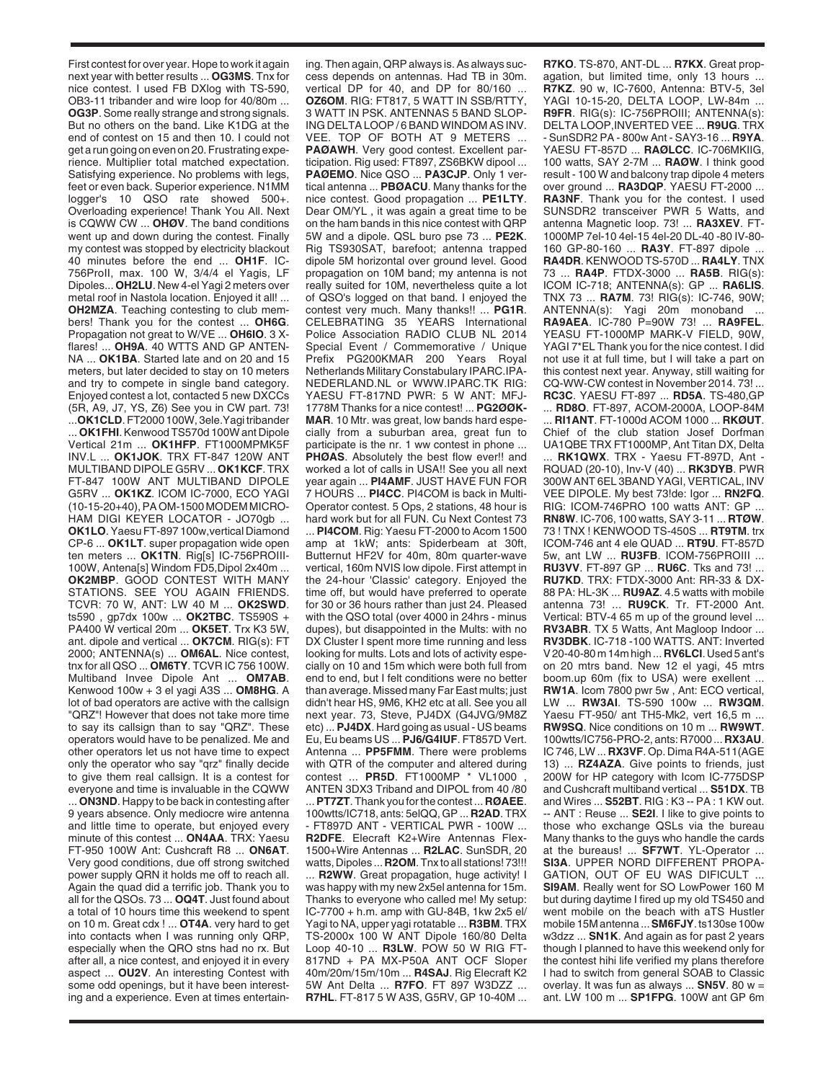First contest for over year. Hope to work it again next year with better results ... **OG3MS**. Tnx for nice contest. I used FB DXlog with TS-590, OB3-11 tribander and wire loop for 40/80m ... **OG3P**. Some really strange and strong signals. But no others on the band. Like K1DG at the end of contest on 15 and then 10. I could not get a run going on even on 20. Frustrating experience. Multiplier total matched expectation. Satisfying experience. No problems with legs, feet or even back. Superior experience. N1MM logger's 10 QSO rate showed 500+. Overloading experience! Thank You All. Next is CQWW CW ... **OHØV**. The band conditions went up and down during the contest. Finally my contest was stopped by electricity blackout 40 minutes before the end ... **OH1F**. IC-756ProII, max. 100 W, 3/4/4 el Yagis, LF Dipoles... **OH2LU**. New 4-el Yagi 2 meters over metal roof in Nastola location. Enjoyed it all! ... **OH2MZA**. Teaching contesting to club members! Thank you for the contest ... **OH6G**. Propagation not great to W/VE ... **OH6IO**. 3 Xflares! ... **OH9A**. 40 WTTS AND GP ANTEN-NA ... **OK1BA**. Started late and on 20 and 15 meters, but later decided to stay on 10 meters and try to compete in single band category. Enjoyed contest a lot, contacted 5 new DXCCs (5R, A9, J7, YS, Z6) See you in CW part. 73! ...**OK1CLD**. FT2000 100W, 3ele.Yagi tribander ... **OK1FHI**. Kenwood TS570d 100W ant Dipole Vertical 21m ... **OK1HFP**. FT1000MPMK5F INV.L ... **OK1JOK**. TRX FT-847 120W ANT MULTIBAND DIPOLE G5RV ... **OK1KCF**. TRX FT-847 100W ANT MULTIBAND DIPOLE G5RV ... **OK1KZ**. ICOM IC-7000, ECO YAGI (10-15-20+40), PA OM-1500 MODEM MICRO-HAM DIGI KEYER LOCATOR - JO70gb ... **OK1LO**. Yaesu FT-897 100w,vertical Diamond CP-6 ... **OK1LT**. super propagation wide open ten meters ... **OK1TN**. Rig[s] IC-756PROIII-100W, Antena[s] Windom FD5,Dipol 2x40m ... **OK2MBP**. GOOD CONTEST WITH MANY STATIONS. SEE YOU AGAIN FRIENDS. TCVR: 70 W, ANT: LW 40 M ... **OK2SWD**. ts590 , gp7dx 100w ... **OK2TBC**. TS590S + PA400 W vertical 20m ... **OK5ET**. Trx K3 5W, ant. dipole and vertical ... **OK7CM**. RIG(s): FT 2000; ANTENNA(s) ... **OM6AL**. Nice contest, tnx for all QSO ... **OM6TY**. TCVR IC 756 100W. Multiband Invee Dipole Ant ... **OM7AB**. Kenwood 100w + 3 el yagi A3S ... **OM8HG**. A lot of bad operators are active with the callsign "QRZ"! However that does not take more time to say its callsign than to say "QRZ". These operators would have to be penalized. Me and other operators let us not have time to expect only the operator who say "qrz" finally decide to give them real callsign. It is a contest for everyone and time is invaluable in the CQWW ... **ON3ND**. Happy to be back in contesting after 9 years absence. Only mediocre wire antenna and little time to operate, but enjoyed every minute of this contest ... **ON4AA**. TRX: Yaesu FT-950 100W Ant: Cushcraft R8 ... **ON6AT**. Very good conditions, due off strong switched power supply QRN it holds me off to reach all. Again the quad did a terrific job. Thank you to all for the QSOs. 73 ... **OQ4T**. Just found about a total of 10 hours time this weekend to spent on 10 m. Great cdx ! ... **OT4A**. very hard to get into contacts when I was running only QRP, especially when the QRO stns had no rx. But after all, a nice contest, and enjoyed it in every aspect ... **OU2V**. An interesting Contest with some odd openings, but it have been interesting and a experience. Even at times entertain-

ing. Then again, QRP always is. As always success depends on antennas. Had TB in 30m. vertical DP for 40, and DP for 80/160 ... **OZ6OM**. RIG: FT817, 5 WATT IN SSB/RTTY, 3 WATT IN PSK. ANTENNAS 5 BAND SLOP-ING DELTA LOOP / 6 BAND WINDOM AS INV. VEE. TOP OF BOTH AT 9 METERS ... **PAØAWH**. Very good contest. Excellent participation. Rig used: FT897, ZS6BKW dipool ... **PAØEMO**. Nice QSO ... **PA3CJP**. Only 1 vertical antenna ... **PBØACU**. Many thanks for the nice contest. Good propagation ... **PE1LTY**. Dear OM/YL , it was again a great time to be on the ham bands in this nice contest with QRP 5W and a dipole. QSL buro pse 73 ... **PE2K**. Rig TS930SAT, barefoot; antenna trapped dipole 5M horizontal over ground level. Good propagation on 10M band; my antenna is not really suited for 10M, nevertheless quite a lot of QSO's logged on that band. I enjoyed the contest very much. Many thanks!! ... **PG1R**. CELEBRATING 35 YEARS International Police Association RADIO CLUB NL 2014 Special Event / Commemorative / Unique Prefix PG200KMAR 200 Years Royal Netherlands Military Constabulary IPARC.IPA-NEDERLAND.NL or WWW.IPARC.TK RIG: YAESU FT-817ND PWR: 5 W ANT: MFJ-1778M Thanks for a nice contest! ... **PG2ØØK-MAR**. 10 Mtr. was great, low bands hard especially from a suburban area, great fun to participate is the nr. 1 ww contest in phone ... **PHØAS**. Absolutely the best flow ever!! and worked a lot of calls in USA!! See you all next year again ... **PI4AMF**. JUST HAVE FUN FOR 7 HOURS ... **PI4CC**. PI4COM is back in Multi-Operator contest. 5 Ops, 2 stations, 48 hour is hard work but for all FUN. Cu Next Contest 73 ... **PI4COM**. Rig: Yaesu FT-2000 to Acom 1500 amp at 1kW; ants: Spiderbeam at 30ft, Butternut HF2V for 40m, 80m quarter-wave vertical, 160m NVIS low dipole. First attempt in the 24-hour 'Classic' category. Enjoyed the time off, but would have preferred to operate for 30 or 36 hours rather than just 24. Pleased with the QSO total (over 4000 in 24hrs - minus dupes), but disappointed in the Mults: with no DX Cluster I spent more time running and less looking for mults. Lots and lots of activity especially on 10 and 15m which were both full from end to end, but I felt conditions were no better than average. Missed many Far East mults; just didn't hear HS, 9M6, KH2 etc at all. See you all next year. 73, Steve, PJ4DX (G4JVG/9M8Z etc) ... **PJ4DX**. Hard going as usual - US beams Eu, Eu beams US ... **PJ6/G4IUF**. FT857D Vert. Antenna ... **PP5FMM**. There were problems with QTR of the computer and altered during contest ... **PR5D**. FT1000MP \* VL1000 , ANTEN 3DX3 Triband and DIPOL from 40 /80 ... **PT7ZT**. Thank you for the contest ... **RØAEE**. 100wtts/IC718, ants: 5elQQ, GP ... **R2AD**. TRX - FT897D ANT - VERTICAL PWR - 100W ... **R2DFE**. Elecraft K2+Wire Antennas Flex-1500+Wire Antennas ... **R2LAC**. SunSDR, 20 watts, Dipoles ... **R2OM**. Tnx to all stations! 73!!! ... **R2WW**. Great propagation, huge activity! I was happy with my new 2x5el antenna for 15m. Thanks to everyone who called me! My setup: IC-7700 + h.m. amp with GU-84B, 1kw 2x5 el/ Yagi to NA, upper yagi rotatable ... **R3BM**. TRX TS-2000x 100 W ANT Dipole 160/80 Delta Loop 40-10 ... **R3LW**. POW 50 W RIG FT-817ND + PA MX-P50A ANT OCF Sloper 40m/20m/15m/10m ... **R4SAJ**. Rig Elecraft K2 5W Ant Delta ... **R7FO**. FT 897 W3DZZ ... **R7HL**. FT-817 5 W A3S, G5RV, GP 10-40M ...

**R7KO**. TS-870, ANT-DL ... **R7KX**. Great propagation, but limited time, only 13 hours. **R7KZ**. 90 w, IC-7600, Antenna: BTV-5, 3el YAGI 10-15-20, DELTA LOOP, LW-84m ... **R9FR**. RIG(s): IC-756PROIII; ANTENNA(s): DELTA LOOP,INVERTED VEE ... **R9UG**. TRX - SunSDR2 PA - 800w Ant - SAY3-16 ... **R9YA**. YAESU FT-857D ... **RAØLCC**. IC-706MKIIG, 100 watts, SAY 2-7M ... **RAØW**. I think good result - 100 W and balcony trap dipole 4 meters over ground ... **RA3DQP**. YAESU FT-2000 ... **RA3NF**. Thank you for the contest. I used SUNSDR2 transceiver PWR 5 Watts, and antenna Magnetic loop. 73! ... **RA3XEV**. FT-1000MP 7el-10 4el-15 4el-20 DL-40 -80 IV-80- 160 GP-80-160 ... **RA3Y**. FT-897 dipole ... **RA4DR**. KENWOOD TS-570D ... **RA4LY**. TNX 73 ... **RA4P**. FTDX-3000 ... **RA5B**. RIG(s): ICOM IC-718; ANTENNA(s): GP ... **RA6LIS**. TNX 73 ... **RA7M**. 73! RIG(s): IC-746, 90W; ANTENNA(s): Yagi 20m monoband ... **RA9AEA**. IC-780 P=90W 73! ... **RA9FEL**. YEASU FT-1000MP MARK-V FIELD, 90W, YAGI 7\*EL Thank you for the nice contest. I did not use it at full time, but I will take a part on this contest next year. Anyway, still waiting for CQ-WW-CW contest in November 2014. 73! ... **RC3C**. YAESU FT-897 ... **RD5A**. TS-480,GP ... **RD8O**. FT-897, ACOM-2000A, LOOP-84M ... **RI1ANT**. FT-1000d ACOM 1000 ... **RKØUT**. Chief of the club station Josef Dorfman UA1QBE TRX FT1000MP, Ant Titan DX, Delta ... **RK1QWX**. TRX - Yaesu FT-897D, Ant - RQUAD (20-10), Inv-V (40) ... **RK3DYB**. PWR 300W ANT 6EL 3BAND YAGI, VERTICAL, INV VEE DIPOLE. My best 73!de: Igor ... **RN2FQ**. RIG: ICOM-746PRO 100 watts ANT: GP. **RN8W**. IC-706, 100 watts, SAY 3-11 ... **RTØW**. 73 ! TNX ! KENWOOD TS-450S ... **RT9TM**. trx ICOM-746 ant 4 ele QUAD ... **RT9U**. FT-857D 5w, ant LW ... **RU3FB**. ICOM-756PROIII ... **RU3VV**. FT-897 GP ... **RU6C**. Tks and 73! ... **RU7KD**. TRX: FTDX-3000 Ant: RR-33 & DX-88 PA: HL-3K ... **RU9AZ**. 4.5 watts with mobile antenna 73! ... **RU9CK**. Tr. FT-2000 Ant. Vertical: BTV-4 65 m up of the ground level ... **RV3ABR**. TX 5 Watts, Ant Magloop Indoor ... **RV3DBK**. IC-718 -100 WATTS. ANT: Inverted V 20-40-80 m 14m high ... **RV6LCI**. Used 5 ant's on 20 mtrs band. New 12 el yagi, 45 mtrs boom.up 60m (fix to USA) were exellent ... **RW1A**. Icom 7800 pwr 5w , Ant: ECO vertical, LW ... **RW3AI**. TS-590 100w ... **RW3QM**. Yaesu FT-950/ ant TH5-Mk2, vert 16,5 m ... **RW9SQ**. Nice conditions on 10 m ... **RW9WT**. 100wtts/IC756-PRO-2, ants: R7000 ... **RX3AU**. IC 746, LW ... **RX3VF**. Op. Dima R4A-511(AGE 13) ... **RZ4AZA**. Give points to friends, just 200W for HP category with Icom IC-775DSP and Cushcraft multiband vertical ... **S51DX**. TB and Wires ... **S52BT**. RIG : K3 -- PA : 1 KW out. -- ANT : Reuse ... **SE2I**. I like to give points to those who exchange QSLs via the bureau Many thanks to the guys who handle the cards at the bureaus! ... **SF7WT**. YL-Operator ... **SI3A**. UPPER NORD DIFFERENT PROPA-GATION, OUT OF EU WAS DIFICULT ... **SI9AM**. Really went for SO LowPower 160 M but during daytime I fired up my old TS450 and went mobile on the beach with aTS Hustler mobile 15M antenna ... **SM6FJY**. ts130se 100w w3dzz ... **SN1K**. And again as for past 2 years though I planned to have this weekend only for the contest hihi life verified my plans therefore I had to switch from general SOAB to Classic overlay. It was fun as always ... **SN5V**. 80 w = ant. LW 100 m ... **SP1FPG**. 100W ant GP 6m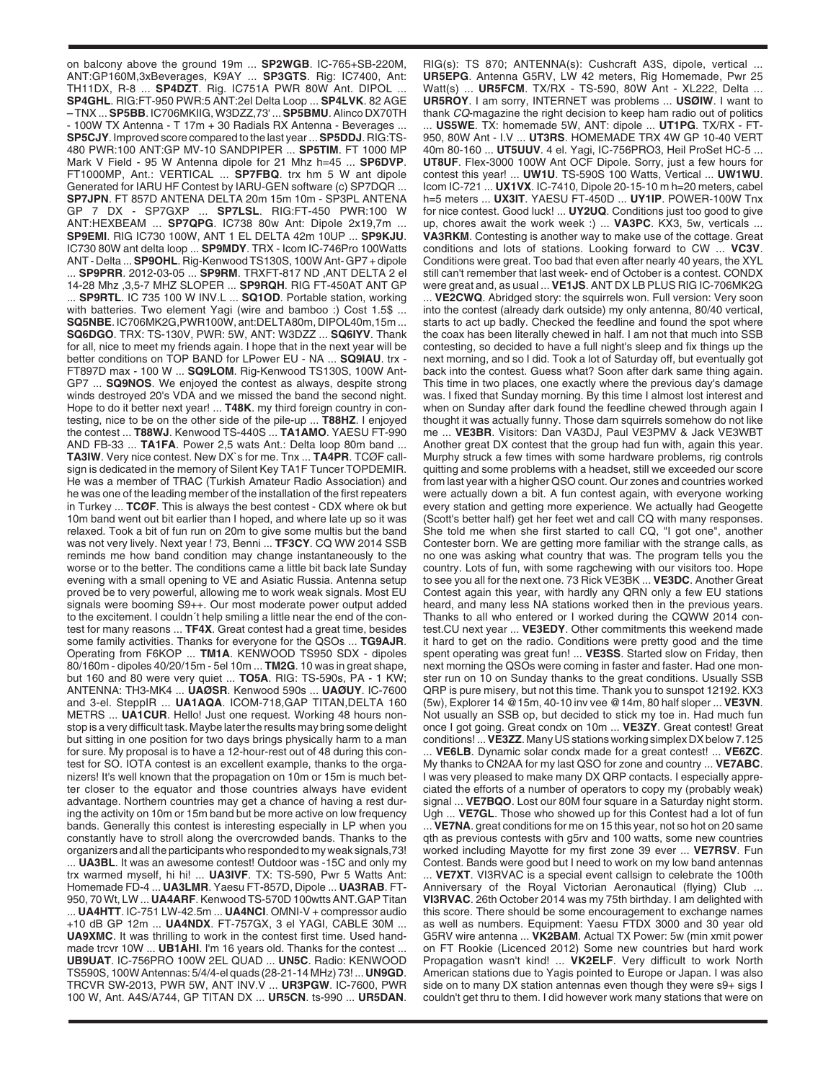on balcony above the ground 19m ... **SP2WGB**. IC-765+SB-220M, ANT:GP160M,3xBeverages, K9AY ... **SP3GTS**. Rig: IC7400, Ant: TH11DX, R-8 ... **SP4DZT**. Rig. IC751A PWR 80W Ant. DIPOL ... **SP4GHL**. RIG:FT-950 PWR:5 ANT:2el Delta Loop ... **SP4LVK**. 82 AGE – TNX ... **SP5BB**. IC706MKIIG, W3DZZ,73' ... **SP5BMU**. Alinco DX70TH - 100W TX Antenna - T 17m + 30 Radials RX Antenna - Beverages ... **SP5CJY**. Improved score compared to the last year ... **SP5DDJ**. RIG:TS-480 PWR:100 ANT:GP MV-10 SANDPIPER ... **SP5TIM**. FT 1000 MP Mark V Field - 95 W Antenna dipole for 21 Mhz h=45 ... **SP6DVP**. FT1000MP, Ant.: VERTICAL ... **SP7FBQ**. trx hm 5 W ant dipole Generated for IARU HF Contest by IARU-GEN software (c) SP7DQR ... **SP7JPN**. FT 857D ANTENA DELTA 20m 15m 10m - SP3PL ANTENA GP 7 DX - SP7GXP ... **SP7LSL**. RIG:FT-450 PWR:100 W ANT:HEXBEAM ... **SP7QPG**. IC738 80w Ant: Dipole 2x19,7m ... **SP9EMI**. RIG IC730 100W, ANT 1 EL DELTA 42m 10UP ... **SP9KJU**. IC730 80W ant delta loop ... **SP9MDY**. TRX - Icom IC-746Pro 100Watts ANT - Delta ... **SP9OHL**. Rig-Kenwood TS130S, 100W Ant- GP7 + dipole ... **SP9PRR**. 2012-03-05 ... **SP9RM**. TRXFT-817 ND ,ANT DELTA 2 el 14-28 Mhz ,3,5-7 MHZ SLOPER ... **SP9RQH**. RIG FT-450AT ANT GP ... **SP9RTL**. IC 735 100 W INV.L ... **SQ1OD**. Portable station, working with batteries. Two element Yagi (wire and bamboo :) Cost 1.5\$ ... **SQ5NBE**. IC706MK2G,PWR100W, ant:DELTA80m, DIPOL40m,15m ... **SQ6DGO**. TRX: TS-130V, PWR: 5W, ANT: W3DZZ ... **SQ6IYV**. Thank for all, nice to meet my friends again. I hope that in the next year will be better conditions on TOP BAND for LPower EU - NA ... **SQ9IAU**. trx - FT897D max - 100 W ... **SQ9LOM**. Rig-Kenwood TS130S, 100W Ant-GP7 ... **SQ9NOS**. We enjoyed the contest as always, despite strong winds destroyed 20's VDA and we missed the band the second night. Hope to do it better next year! ... **T48K**. my third foreign country in contesting, nice to be on the other side of the pile-up ... **T88HZ**. I enjoyed the contest ... **T88WJ**. Kenwood TS-440S ... **TA1AMO**. YAESU FT-990 AND FB-33 ... **TA1FA**. Power 2,5 wats Ant.: Delta loop 80m band ... **TA3IW**. Very nice contest. New DX`s for me. Tnx ... **TA4PR**. TCØF callsign is dedicated in the memory of Silent Key TA1F Tuncer TOPDEMIR. He was a member of TRAC (Turkish Amateur Radio Association) and he was one of the leading member of the installation of the first repeaters in Turkey ... **TCØF**. This is always the best contest - CDX where ok but 10m band went out bit earlier than I hoped, and where late up so it was relaxed. Took a bit of fun run on 20m to give some multis but the band was not very lively. Next year ! 73, Benni ... **TF3CY**. CQ WW 2014 SSB reminds me how band condition may change instantaneously to the worse or to the better. The conditions came a little bit back late Sunday evening with a small opening to VE and Asiatic Russia. Antenna setup proved be to very powerful, allowing me to work weak signals. Most EU signals were booming S9++. Our most moderate power output added to the excitement. I couldn´t help smiling a little near the end of the contest for many reasons ... **TF4X**. Great contest had a great time, besides some family activities. Thanks for everyone for the QSOs ... **TG9AJR**. Operating from F6KOP ... **TM1A**. KENWOOD TS950 SDX - dipoles 80/160m - dipoles 40/20/15m - 5el 10m ... **TM2G**. 10 was in great shape, but 160 and 80 were very quiet ... **TO5A**. RIG: TS-590s, PA - 1 KW; ANTENNA: TH3-MK4 ... **UAØSR**. Kenwood 590s ... **UAØUY**. IC-7600 and 3-el. SteppIR ... **UA1AQA**. ICOM-718,GAP TITAN,DELTA 160 METRS ... **UA1CUR**. Hello! Just one request. Working 48 hours nonstop is a very difficult task. Maybe later the results may bring some delight but sitting in one position for two days brings physically harm to a man for sure. My proposal is to have a 12-hour-rest out of 48 during this contest for SO. IOTA contest is an excellent example, thanks to the organizers! It's well known that the propagation on 10m or 15m is much better closer to the equator and those countries always have evident advantage. Northern countries may get a chance of having a rest during the activity on 10m or 15m band but be more active on low frequency bands. Generally this contest is interesting especially in LP when you constantly have to stroll along the overcrowded bands. Thanks to the organizers and all the participants who responded to my weak signals,73! ... **UA3BL**. It was an awesome contest! Outdoor was -15C and only my trx warmed myself, hi hi! ... **UA3IVF**. TX: TS-590, Pwr 5 Watts Ant: Homemade FD-4 ... **UA3LMR**. Yaesu FT-857D, Dipole ... **UA3RAB**. FT-950, 70 Wt, LW ... **UA4ARF**. Kenwood TS-570D 100wtts ANT.GAP Titan ... **UA4HTT**. IC-751 LW-42.5m ... **UA4NCI**. OMNI-V + compressor audio +10 dB GP 12m ... **UA4NDX**. FT-757GX, 3 el YAGI, CABLE 30M ... **UA9XMC**. It was thrilling to work in the contest first time. Used handmade trcvr 10W ... **UB1AHI**. I'm 16 years old. Thanks for the contest ... **UB9UAT**. IC-756PRO 100W 2EL QUAD ... **UN5C**. Radio: KENWOOD TS590S, 100W Antennas: 5/4/4-el quads (28-21-14 MHz) 73! ... **UN9GD**. TRCVR SW-2013, PWR 5W, ANT INV.V ... **UR3PGW**. IC-7600, PWR 100 W, Ant. A4S/A744, GP TITAN DX ... **UR5CN**. ts-990 ... **UR5DAN**.

RIG(s): TS 870; ANTENNA(s): Cushcraft A3S, dipole, vertical **UR5EPG**. Antenna G5RV, LW 42 meters, Rig Homemade, Pwr 25 Watt(s) ... **UR5FCM**. TX/RX - TS-590, 80W Ant - XL222, Delta ... **UR5ROY**. I am sorry, INTERNET was problems ... **USØIW**. I want to thank *CQ*-magazine the right decision to keep ham radio out of politics ... **US5WE**. TX: homemade 5W, ANT: dipole ... **UT1PG**. TX/RX - FT-950, 80W Ant - I.V ... **UT3RS**. HOMEMADE TRX 4W GP 10-40 VERT 40m 80-160 ... **UT5UUV**. 4 el. Yagi, IC-756PRO3, Heil ProSet HC-5 ... **UT8UF**. Flex-3000 100W Ant OCF Dipole. Sorry, just a few hours for contest this year! ... **UW1U**. TS-590S 100 Watts, Vertical ... **UW1WU**. Icom IC-721 ... **UX1VX**. IC-7410, Dipole 20-15-10 m h=20 meters, cabel h=5 meters ... **UX3IT**. YAESU FT-450D ... **UY1IP**. POWER-100W Tnx for nice contest. Good luck! ... **UY2UQ**. Conditions just too good to give up, chores await the work week :) ... **VA3PC**. KX3, 5w, verticals ... **VA3RKM**. Contesting is another way to make use of the cottage. Great conditions and lots of stations. Looking forward to CW ... **VC3V**. Conditions were great. Too bad that even after nearly 40 years, the XYL still can't remember that last week- end of October is a contest. CONDX were great and, as usual ... **VE1JS**. ANT DX LB PLUS RIG IC-706MK2G ... **VE2CWQ**. Abridged story: the squirrels won. Full version: Very soon into the contest (already dark outside) my only antenna, 80/40 vertical, starts to act up badly. Checked the feedline and found the spot where the coax has been literally chewed in half. I am not that much into SSB contesting, so decided to have a full night's sleep and fix things up the next morning, and so I did. Took a lot of Saturday off, but eventually got back into the contest. Guess what? Soon after dark same thing again. This time in two places, one exactly where the previous day's damage was. I fixed that Sunday morning. By this time I almost lost interest and when on Sunday after dark found the feedline chewed through again I thought it was actually funny. Those darn squirrels somehow do not like me ... **VE3BR**. Visitors: Dan VA3DJ, Paul VE3PMV & Jack VE3WBT Another great DX contest that the group had fun with, again this year. Murphy struck a few times with some hardware problems, rig controls quitting and some problems with a headset, still we exceeded our score from last year with a higher QSO count. Our zones and countries worked were actually down a bit. A fun contest again, with everyone working every station and getting more experience. We actually had Geogette (Scott's better half) get her feet wet and call CQ with many responses. She told me when she first started to call CQ, "I got one", another Contester born. We are getting more familiar with the strange calls, as no one was asking what country that was. The program tells you the country. Lots of fun, with some ragchewing with our visitors too. Hope to see you all for the next one. 73 Rick VE3BK ... **VE3DC**. Another Great Contest again this year, with hardly any QRN only a few EU stations heard, and many less NA stations worked then in the previous years. Thanks to all who entered or I worked during the CQWW 2014 contest.CU next year ... **VE3EDY**. Other commitments this weekend made it hard to get on the radio. Conditions were pretty good and the time spent operating was great fun! ... **VE3SS**. Started slow on Friday, then next morning the QSOs were coming in faster and faster. Had one monster run on 10 on Sunday thanks to the great conditions. Usually SSB QRP is pure misery, but not this time. Thank you to sunspot 12192. KX3 (5w), Explorer 14 @15m, 40-10 inv vee @14m, 80 half sloper ... **VE3VN**. Not usually an SSB op, but decided to stick my toe in. Had much fun once I got going. Great condx on 10m ... **VE3ZY**. Great contest! Great conditions! ... **VE3ZZ**. Many US stations working simplex DX below 7.125

... **VE6LB**. Dynamic solar condx made for a great contest! ... **VE6ZC**. My thanks to CN2AA for my last QSO for zone and country ... **VE7ABC**. I was very pleased to make many DX QRP contacts. I especially appreciated the efforts of a number of operators to copy my (probably weak) signal ... **VE7BQO**. Lost our 80M four square in a Saturday night storm. Ugh ... **VE7GL**. Those who showed up for this Contest had a lot of fun ... **VE7NA**. great conditions for me on 15 this year, not so hot on 20 same qth as previous contests with g5rv and 100 watts, some new countries worked including Mayotte for my first zone 39 ever ... **VE7RSV**. Fun Contest. Bands were good but I need to work on my low band antennas

... **VE7XT**. VI3RVAC is a special event callsign to celebrate the 100th Anniversary of the Royal Victorian Aeronautical (flying) Club ... **VI3RVAC**. 26th October 2014 was my 75th birthday. I am delighted with this score. There should be some encouragement to exchange names as well as numbers. Equipment: Yaesu FTDX 3000 and 30 year old G5RV wire antenna ... **VK2BAM**. Actual TX Power: 5w (min xmit power on FT Rookie (Licenced 2012) Some new countries but hard work Propagation wasn't kind! ... **VK2ELF**. Very difficult to work North American stations due to Yagis pointed to Europe or Japan. I was also side on to many DX station antennas even though they were s9+ sigs I couldn't get thru to them. I did however work many stations that were on